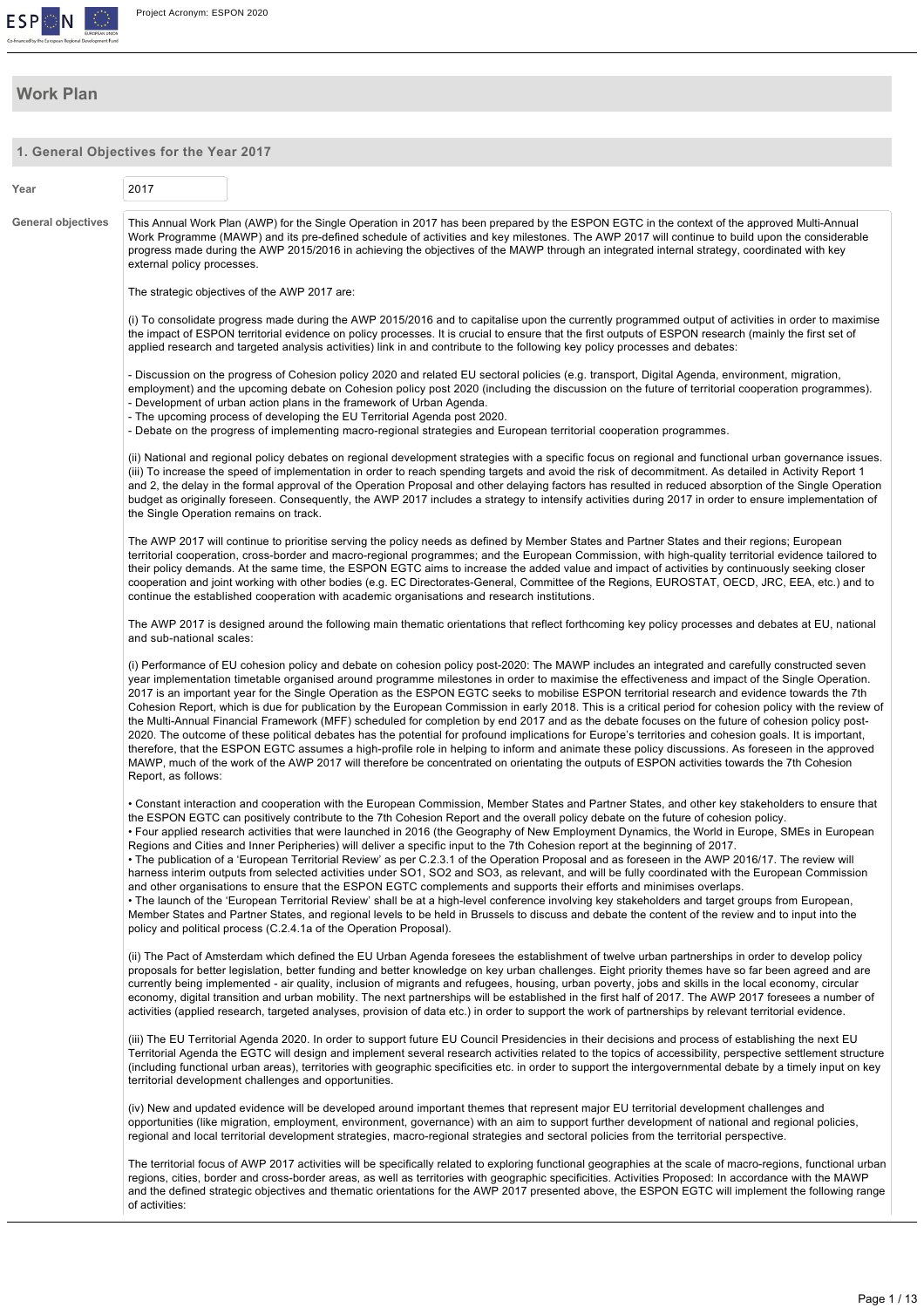

# **Work Plan**

**1. General Objectives for the Year 2017**

|                    | 1. General Objectives for the Year 2017                                                                                                                                                                                                                                                                                                                                                                                                                                                                                                                                                                                                                                                                                                                                                                                                                                                                                                                                                                                                                                                                                                                                                                                                                                                                                                                                                     |
|--------------------|---------------------------------------------------------------------------------------------------------------------------------------------------------------------------------------------------------------------------------------------------------------------------------------------------------------------------------------------------------------------------------------------------------------------------------------------------------------------------------------------------------------------------------------------------------------------------------------------------------------------------------------------------------------------------------------------------------------------------------------------------------------------------------------------------------------------------------------------------------------------------------------------------------------------------------------------------------------------------------------------------------------------------------------------------------------------------------------------------------------------------------------------------------------------------------------------------------------------------------------------------------------------------------------------------------------------------------------------------------------------------------------------|
| Year               | 2017                                                                                                                                                                                                                                                                                                                                                                                                                                                                                                                                                                                                                                                                                                                                                                                                                                                                                                                                                                                                                                                                                                                                                                                                                                                                                                                                                                                        |
| General objectives | This Annual Work Plan (AWP) for the Single Operation in 2017 has been prepared by the ESPON EGTC in the context of the approved Multi-Annual<br>Work Programme (MAWP) and its pre-defined schedule of activities and key milestones. The AWP 2017 will continue to build upon the considerable<br>progress made during the AWP 2015/2016 in achieving the objectives of the MAWP through an integrated internal strategy, coordinated with key<br>external policy processes.                                                                                                                                                                                                                                                                                                                                                                                                                                                                                                                                                                                                                                                                                                                                                                                                                                                                                                                |
|                    | The strategic objectives of the AWP 2017 are:                                                                                                                                                                                                                                                                                                                                                                                                                                                                                                                                                                                                                                                                                                                                                                                                                                                                                                                                                                                                                                                                                                                                                                                                                                                                                                                                               |
|                    | (i) To consolidate progress made during the AWP 2015/2016 and to capitalise upon the currently programmed output of activities in order to maximise<br>the impact of ESPON territorial evidence on policy processes. It is crucial to ensure that the first outputs of ESPON research (mainly the first set of<br>applied research and targeted analysis activities) link in and contribute to the following key policy processes and debates:                                                                                                                                                                                                                                                                                                                                                                                                                                                                                                                                                                                                                                                                                                                                                                                                                                                                                                                                              |
|                    | - Discussion on the progress of Cohesion policy 2020 and related EU sectoral policies (e.g. transport, Digital Agenda, environment, migration,<br>employment) and the upcoming debate on Cohesion policy post 2020 (including the discussion on the future of territorial cooperation programmes).<br>- Development of urban action plans in the framework of Urban Agenda.<br>- The upcoming process of developing the EU Territorial Agenda post 2020.<br>- Debate on the progress of implementing macro-regional strategies and European territorial cooperation programmes.                                                                                                                                                                                                                                                                                                                                                                                                                                                                                                                                                                                                                                                                                                                                                                                                             |
|                    |                                                                                                                                                                                                                                                                                                                                                                                                                                                                                                                                                                                                                                                                                                                                                                                                                                                                                                                                                                                                                                                                                                                                                                                                                                                                                                                                                                                             |
|                    | (ii) National and regional policy debates on regional development strategies with a specific focus on regional and functional urban governance issues.<br>(iii) To increase the speed of implementation in order to reach spending targets and avoid the risk of decommitment. As detailed in Activity Report 1<br>and 2, the delay in the formal approval of the Operation Proposal and other delaying factors has resulted in reduced absorption of the Single Operation<br>budget as originally foreseen. Consequently, the AWP 2017 includes a strategy to intensify activities during 2017 in order to ensure implementation of<br>the Single Operation remains on track.                                                                                                                                                                                                                                                                                                                                                                                                                                                                                                                                                                                                                                                                                                              |
|                    | The AWP 2017 will continue to prioritise serving the policy needs as defined by Member States and Partner States and their regions; European<br>territorial cooperation, cross-border and macro-regional programmes; and the European Commission, with high-quality territorial evidence tailored to<br>their policy demands. At the same time, the ESPON EGTC aims to increase the added value and impact of activities by continuously seeking closer<br>cooperation and joint working with other bodies (e.g. EC Directorates-General, Committee of the Regions, EUROSTAT, OECD, JRC, EEA, etc.) and to<br>continue the established cooperation with academic organisations and research institutions.                                                                                                                                                                                                                                                                                                                                                                                                                                                                                                                                                                                                                                                                                   |
|                    | The AWP 2017 is designed around the following main thematic orientations that reflect forthcoming key policy processes and debates at EU, national<br>and sub-national scales:                                                                                                                                                                                                                                                                                                                                                                                                                                                                                                                                                                                                                                                                                                                                                                                                                                                                                                                                                                                                                                                                                                                                                                                                              |
|                    | (i) Performance of EU cohesion policy and debate on cohesion policy post-2020: The MAWP includes an integrated and carefully constructed seven<br>year implementation timetable organised around programme milestones in order to maximise the effectiveness and impact of the Single Operation.<br>2017 is an important year for the Single Operation as the ESPON EGTC seeks to mobilise ESPON territorial research and evidence towards the 7th<br>Cohesion Report, which is due for publication by the European Commission in early 2018. This is a critical period for cohesion policy with the review of<br>the Multi-Annual Financial Framework (MFF) scheduled for completion by end 2017 and as the debate focuses on the future of cohesion policy post-<br>2020. The outcome of these political debates has the potential for profound implications for Europe's territories and cohesion goals. It is important,<br>therefore, that the ESPON EGTC assumes a high-profile role in helping to inform and animate these policy discussions. As foreseen in the approved<br>MAWP, much of the work of the AWP 2017 will therefore be concentrated on orientating the outputs of ESPON activities towards the 7th Cohesion<br>Report, as follows:                                                                                                                                   |
|                    | • Constant interaction and cooperation with the European Commission, Member States and Partner States, and other key stakeholders to ensure that<br>the ESPON EGTC can positively contribute to the 7th Cohesion Report and the overall policy debate on the future of cohesion policy.<br>• Four applied research activities that were launched in 2016 (the Geography of New Employment Dynamics, the World in Europe, SMEs in European<br>Regions and Cities and Inner Peripheries) will deliver a specific input to the 7th Cohesion report at the beginning of 2017.<br>• The publication of a 'European Territorial Review' as per C.2.3.1 of the Operation Proposal and as foreseen in the AWP 2016/17. The review will<br>harness interim outputs from selected activities under SO1, SO2 and SO3, as relevant, and will be fully coordinated with the European Commission<br>and other organisations to ensure that the ESPON EGTC complements and supports their efforts and minimises overlaps.<br>• The launch of the 'European Territorial Review' shall be at a high-level conference involving key stakeholders and target groups from European,<br>Member States and Partner States, and regional levels to be held in Brussels to discuss and debate the content of the review and to input into the<br>policy and political process (C.2.4.1a of the Operation Proposal). |
|                    | (ii) The Pact of Amsterdam which defined the EU Urban Agenda foresees the establishment of twelve urban partnerships in order to develop policy<br>proposals for better legislation, better funding and better knowledge on key urban challenges. Eight priority themes have so far been agreed and are<br>currently being implemented - air quality, inclusion of migrants and refugees, housing, urban poverty, jobs and skills in the local economy, circular<br>economy, digital transition and urban mobility. The next partnerships will be established in the first half of 2017. The AWP 2017 foresees a number of<br>activities (applied research, targeted analyses, provision of data etc.) in order to support the work of partnerships by relevant territorial evidence.                                                                                                                                                                                                                                                                                                                                                                                                                                                                                                                                                                                                       |
|                    | (iii) The EU Territorial Agenda 2020. In order to support future EU Council Presidencies in their decisions and process of establishing the next EU<br>Territorial Agenda the EGTC will design and implement several research activities related to the topics of accessibility, perspective settlement structure<br>(including functional urban areas), territories with geographic specificities etc. in order to support the intergovernmental debate by a timely input on key<br>territorial development challenges and opportunities.                                                                                                                                                                                                                                                                                                                                                                                                                                                                                                                                                                                                                                                                                                                                                                                                                                                  |
|                    | (iv) New and updated evidence will be developed around important themes that represent major EU territorial development challenges and<br>opportunities (like migration, employment, environment, governance) with an aim to support further development of national and regional policies,<br>regional and local territorial development strategies, macro-regional strategies and sectoral policies from the territorial perspective.                                                                                                                                                                                                                                                                                                                                                                                                                                                                                                                                                                                                                                                                                                                                                                                                                                                                                                                                                     |
|                    | The territorial focus of AWP 2017 activities will be specifically related to exploring functional geographies at the scale of macro-regions, functional urban<br>regions, cities, border and cross-border areas, as well as territories with geographic specificities. Activities Proposed: In accordance with the MAWP<br>and the defined strategic objectives and thematic orientations for the AWP 2017 presented above, the ESPON EGTC will implement the following range<br>of activities:                                                                                                                                                                                                                                                                                                                                                                                                                                                                                                                                                                                                                                                                                                                                                                                                                                                                                             |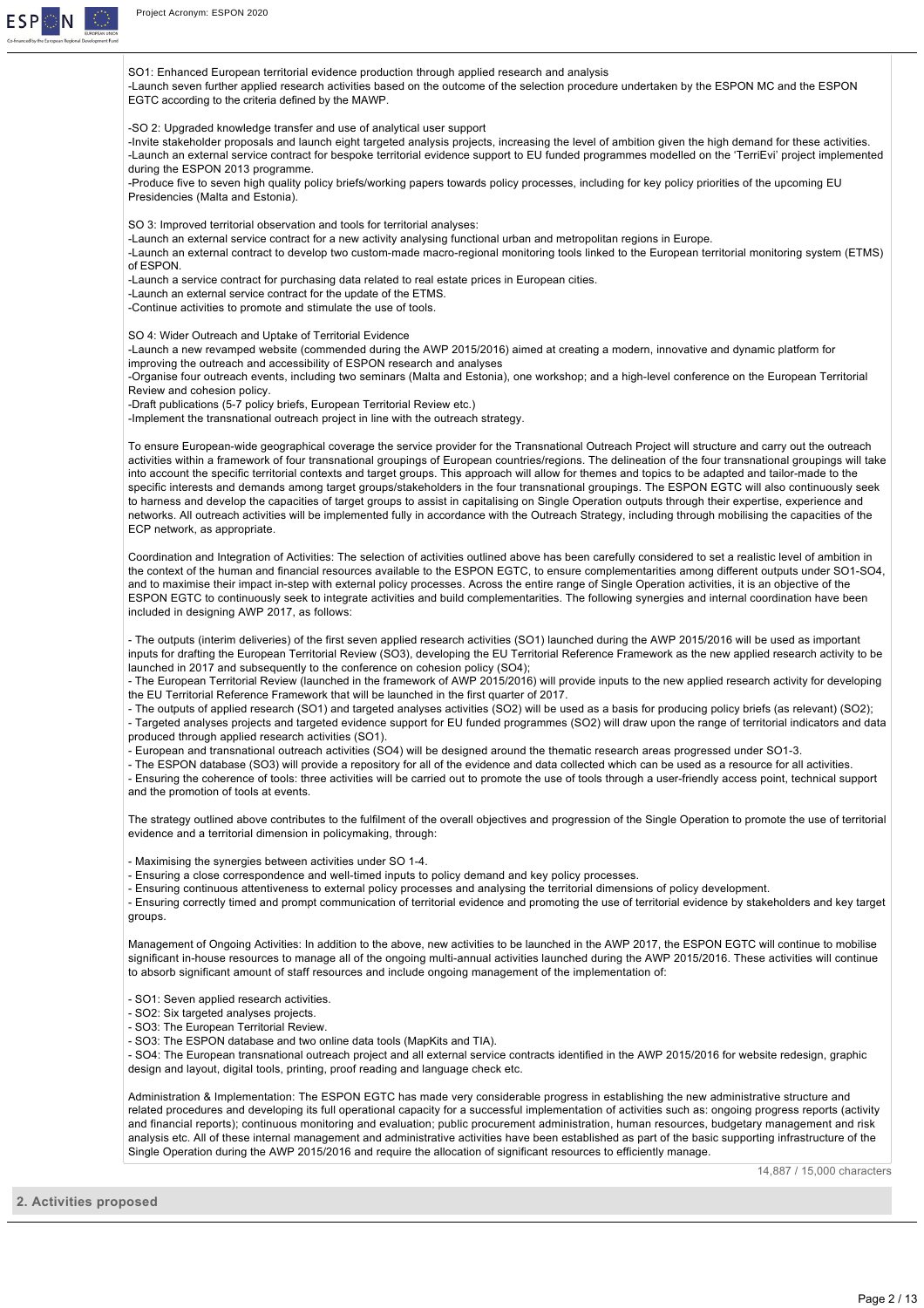

SO1: Enhanced European territorial evidence production through applied research and analysis

Launch seven further applied research activities based on the outcome of the selection procedure undertaken by the ESPON MC and the ESPON EGTC according to the criteria defined by the MAWP.

SO 2: Upgraded knowledge transfer and use of analytical user support

-Invite stakeholder proposals and launch eight targeted analysis projects, increasing the level of ambition given the high demand for these activities. Launch an external service contract for bespoke territorial evidence support to EU funded programmes modelled on the 'TerriEvi' project implemented during the ESPON 2013 programme.

Produce five to seven high quality policy briefs/working papers towards policy processes, including for key policy priorities of the upcoming EU Presidencies (Malta and Estonia).

SO 3: Improved territorial observation and tools for territorial analyses:

Launch an external service contract for a new activity analysing functional urban and metropolitan regions in Europe.

-Launch an external contract to develop two custom-made macro-regional monitoring tools linked to the European territorial monitoring system (ETMS) of ESPON.

Launch a service contract for purchasing data related to real estate prices in European cities.

Launch an external service contract for the update of the ETMS.

Continue activities to promote and stimulate the use of tools.

SO 4: Wider Outreach and Uptake of Territorial Evidence

Launch a new revamped website (commended during the AWP 2015/2016) aimed at creating a modern, innovative and dynamic platform for improving the outreach and accessibility of ESPON research and analyses

-Organise four outreach events, including two seminars (Malta and Estonia), one workshop; and a high-level conference on the European Territorial Review and cohesion policy.

-Draft publications (5-7 policy briefs, European Territorial Review etc.)

-Implement the transnational outreach project in line with the outreach strategy.

To ensure European-wide geographical coverage the service provider for the Transnational Outreach Project will structure and carry out the outreach activities within a framework of four transnational groupings of European countries/regions. The delineation of the four transnational groupings will take into account the specific territorial contexts and target groups. This approach will allow for themes and topics to be adapted and tailor-made to the specific interests and demands among target groups/stakeholders in the four transnational groupings. The ESPON EGTC will also continuously seek to harness and develop the capacities of target groups to assist in capitalising on Single Operation outputs through their expertise, experience and networks. All outreach activities will be implemented fully in accordance with the Outreach Strategy, including through mobilising the capacities of the ECP network, as appropriate.

Coordination and Integration of Activities: The selection of activities outlined above has been carefully considered to set a realistic level of ambition in the context of the human and financial resources available to the ESPON EGTC, to ensure complementarities among different outputs under SO1SO4, and to maximise their impact in-step with external policy processes. Across the entire range of Single Operation activities, it is an objective of the ESPON EGTC to continuously seek to integrate activities and build complementarities. The following synergies and internal coordination have been included in designing AWP 2017, as follows:

- The outputs (interim deliveries) of the first seven applied research activities (SO1) launched during the AWP 2015/2016 will be used as important inputs for drafting the European Territorial Review (SO3), developing the EU Territorial Reference Framework as the new applied research activity to be launched in 2017 and subsequently to the conference on cohesion policy (SO4):

- The European Territorial Review (launched in the framework of AWP 2015/2016) will provide inputs to the new applied research activity for developing the EU Territorial Reference Framework that will be launched in the first quarter of 2017.

- The outputs of applied research (SO1) and targeted analyses activities (SO2) will be used as a basis for producing policy briefs (as relevant) (SO2); Targeted analyses projects and targeted evidence support for EU funded programmes (SO2) will draw upon the range of territorial indicators and data produced through applied research activities (SO1).

European and transnational outreach activities (SO4) will be designed around the thematic research areas progressed under SO13.

- The ESPON database (SO3) will provide a repository for all of the evidence and data collected which can be used as a resource for all activities.

- Ensuring the coherence of tools: three activities will be carried out to promote the use of tools through a user-friendly access point, technical support and the promotion of tools at events.

The strategy outlined above contributes to the fulfilment of the overall objectives and progression of the Single Operation to promote the use of territorial evidence and a territorial dimension in policymaking, through:

- Maximising the synergies between activities under SO 1-4.

- Ensuring a close correspondence and well-timed inputs to policy demand and key policy processes.

 Ensuring continuous attentiveness to external policy processes and analysing the territorial dimensions of policy development. Ensuring correctly timed and prompt communication of territorial evidence and promoting the use of territorial evidence by stakeholders and key target groups.

Management of Ongoing Activities: In addition to the above, new activities to be launched in the AWP 2017, the ESPON EGTC will continue to mobilise significant in-house resources to manage all of the ongoing multi-annual activities launched during the AWP 2015/2016. These activities will continue to absorb significant amount of staff resources and include ongoing management of the implementation of:

- SO1: Seven applied research activities.

- SO2: Six targeted analyses projects.

- SO3: The European Territorial Review.

SO3: The ESPON database and two online data tools (MapKits and TIA).

- SO4: The European transnational outreach project and all external service contracts identified in the AWP 2015/2016 for website redesign, graphic design and layout, digital tools, printing, proof reading and language check etc.

Administration & Implementation: The ESPON EGTC has made very considerable progress in establishing the new administrative structure and related procedures and developing its full operational capacity for a successful implementation of activities such as: ongoing progress reports (activity and financial reports); continuous monitoring and evaluation; public procurement administration, human resources, budgetary management and risk analysis etc. All of these internal management and administrative activities have been established as part of the basic supporting infrastructure of the Single Operation during the AWP 2015/2016 and require the allocation of significant resources to efficiently manage.

14,887 / 15,000 characters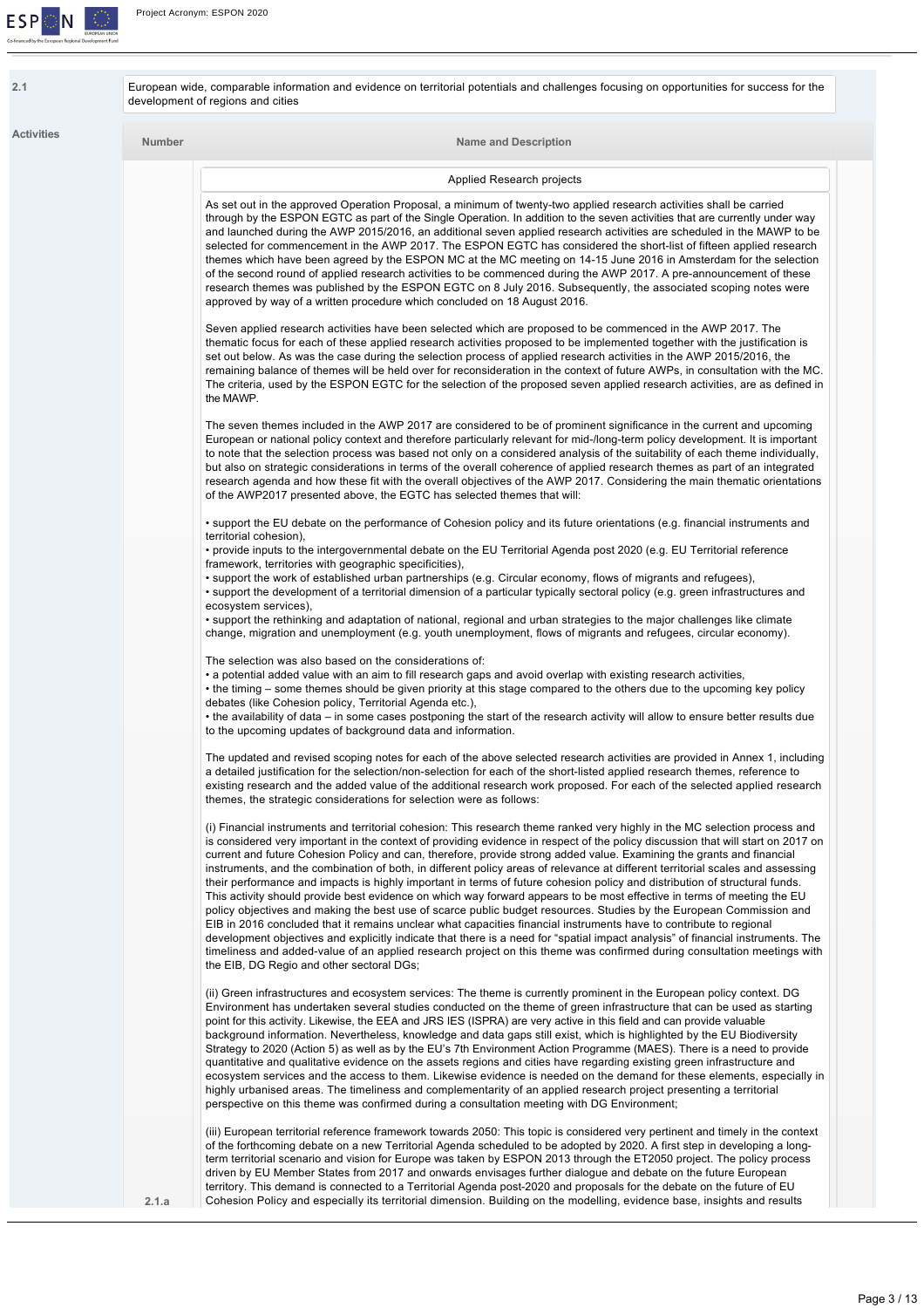

| <b>Activities</b> | Number | <b>Name and Description</b>                                                                                                                                                                                                                                                                                                                                                                                                                                                                                                                                                                                                                                                                                                                                                                                                                                                                                                                                                                                                                                                                                                                                                                                                         |  |
|-------------------|--------|-------------------------------------------------------------------------------------------------------------------------------------------------------------------------------------------------------------------------------------------------------------------------------------------------------------------------------------------------------------------------------------------------------------------------------------------------------------------------------------------------------------------------------------------------------------------------------------------------------------------------------------------------------------------------------------------------------------------------------------------------------------------------------------------------------------------------------------------------------------------------------------------------------------------------------------------------------------------------------------------------------------------------------------------------------------------------------------------------------------------------------------------------------------------------------------------------------------------------------------|--|
|                   |        | Applied Research projects                                                                                                                                                                                                                                                                                                                                                                                                                                                                                                                                                                                                                                                                                                                                                                                                                                                                                                                                                                                                                                                                                                                                                                                                           |  |
|                   |        | As set out in the approved Operation Proposal, a minimum of twenty-two applied research activities shall be carried<br>through by the ESPON EGTC as part of the Single Operation. In addition to the seven activities that are currently under way<br>and launched during the AWP 2015/2016, an additional seven applied research activities are scheduled in the MAWP to be<br>selected for commencement in the AWP 2017. The ESPON EGTC has considered the short-list of fifteen applied research<br>themes which have been agreed by the ESPON MC at the MC meeting on 14-15 June 2016 in Amsterdam for the selection<br>of the second round of applied research activities to be commenced during the AWP 2017. A pre-announcement of these<br>research themes was published by the ESPON EGTC on 8 July 2016. Subsequently, the associated scoping notes were<br>approved by way of a written procedure which concluded on 18 August 2016.                                                                                                                                                                                                                                                                                     |  |
|                   |        | Seven applied research activities have been selected which are proposed to be commenced in the AWP 2017. The<br>thematic focus for each of these applied research activities proposed to be implemented together with the justification is<br>set out below. As was the case during the selection process of applied research activities in the AWP 2015/2016, the<br>remaining balance of themes will be held over for reconsideration in the context of future AWPs, in consultation with the MC.<br>The criteria, used by the ESPON EGTC for the selection of the proposed seven applied research activities, are as defined in<br>the MAWP.                                                                                                                                                                                                                                                                                                                                                                                                                                                                                                                                                                                     |  |
|                   |        | The seven themes included in the AWP 2017 are considered to be of prominent significance in the current and upcoming<br>European or national policy context and therefore particularly relevant for mid-/long-term policy development. It is important<br>to note that the selection process was based not only on a considered analysis of the suitability of each theme individually,<br>but also on strategic considerations in terms of the overall coherence of applied research themes as part of an integrated<br>research agenda and how these fit with the overall objectives of the AWP 2017. Considering the main thematic orientations<br>of the AWP2017 presented above, the EGTC has selected themes that will:                                                                                                                                                                                                                                                                                                                                                                                                                                                                                                       |  |
|                   |        | • support the EU debate on the performance of Cohesion policy and its future orientations (e.g. financial instruments and<br>territorial cohesion),<br>• provide inputs to the intergovernmental debate on the EU Territorial Agenda post 2020 (e.g. EU Territorial reference<br>framework, territories with geographic specificities),<br>• support the work of established urban partnerships (e.g. Circular economy, flows of migrants and refugees),<br>• support the development of a territorial dimension of a particular typically sectoral policy (e.g. green infrastructures and<br>ecosystem services),                                                                                                                                                                                                                                                                                                                                                                                                                                                                                                                                                                                                                  |  |
|                   |        | • support the rethinking and adaptation of national, regional and urban strategies to the major challenges like climate<br>change, migration and unemployment (e.g. youth unemployment, flows of migrants and refugees, circular economy).<br>The selection was also based on the considerations of:<br>• a potential added value with an aim to fill research gaps and avoid overlap with existing research activities,<br>• the timing – some themes should be given priority at this stage compared to the others due to the upcoming key policy<br>debates (like Cohesion policy, Territorial Agenda etc.),                                                                                                                                                                                                                                                                                                                                                                                                                                                                                                                                                                                                                     |  |
|                   |        | • the availability of data – in some cases postponing the start of the research activity will allow to ensure better results due<br>to the upcoming updates of background data and information.<br>The updated and revised scoping notes for each of the above selected research activities are provided in Annex 1, including<br>a detailed justification for the selection/non-selection for each of the short-listed applied research themes, reference to                                                                                                                                                                                                                                                                                                                                                                                                                                                                                                                                                                                                                                                                                                                                                                       |  |
|                   |        | existing research and the added value of the additional research work proposed. For each of the selected applied research<br>themes, the strategic considerations for selection were as follows:<br>(i) Financial instruments and territorial cohesion: This research theme ranked very highly in the MC selection process and<br>is considered very important in the context of providing evidence in respect of the policy discussion that will start on 2017 on<br>current and future Cohesion Policy and can, therefore, provide strong added value. Examining the grants and financial<br>instruments, and the combination of both, in different policy areas of relevance at different territorial scales and assessing<br>their performance and impacts is highly important in terms of future cohesion policy and distribution of structural funds.<br>This activity should provide best evidence on which way forward appears to be most effective in terms of meeting the EU<br>policy objectives and making the best use of scarce public budget resources. Studies by the European Commission and<br>EIB in 2016 concluded that it remains unclear what capacities financial instruments have to contribute to regional |  |
|                   |        | development objectives and explicitly indicate that there is a need for "spatial impact analysis" of financial instruments. The<br>timeliness and added-value of an applied research project on this theme was confirmed during consultation meetings with<br>the EIB, DG Regio and other sectoral DGs;                                                                                                                                                                                                                                                                                                                                                                                                                                                                                                                                                                                                                                                                                                                                                                                                                                                                                                                             |  |
|                   |        | (ii) Green infrastructures and ecosystem services: The theme is currently prominent in the European policy context. DG<br>Environment has undertaken several studies conducted on the theme of green infrastructure that can be used as starting<br>point for this activity. Likewise, the EEA and JRS IES (ISPRA) are very active in this field and can provide valuable<br>background information. Nevertheless, knowledge and data gaps still exist, which is highlighted by the EU Biodiversity<br>Strategy to 2020 (Action 5) as well as by the EU's 7th Environment Action Programme (MAES). There is a need to provide<br>quantitative and qualitative evidence on the assets regions and cities have regarding existing green infrastructure and<br>ecosystem services and the access to them. Likewise evidence is needed on the demand for these elements, especially in<br>highly urbanised areas. The timeliness and complementarity of an applied research project presenting a territorial<br>perspective on this theme was confirmed during a consultation meeting with DG Environment;                                                                                                                              |  |
|                   |        | (iii) European territorial reference framework towards 2050: This topic is considered very pertinent and timely in the context<br>of the forthcoming debate on a new Territorial Agenda scheduled to be adopted by 2020. A first step in developing a long-<br>term territorial scenario and vision for Europe was taken by ESPON 2013 through the ET2050 project. The policy process<br>driven by EU Member States from 2017 and onwards envisages further dialogue and debate on the future European<br>territory. This demand is connected to a Territorial Agenda post-2020 and proposals for the debate on the future of EU                                                                                                                                                                                                                                                                                                                                                                                                                                                                                                                                                                                                    |  |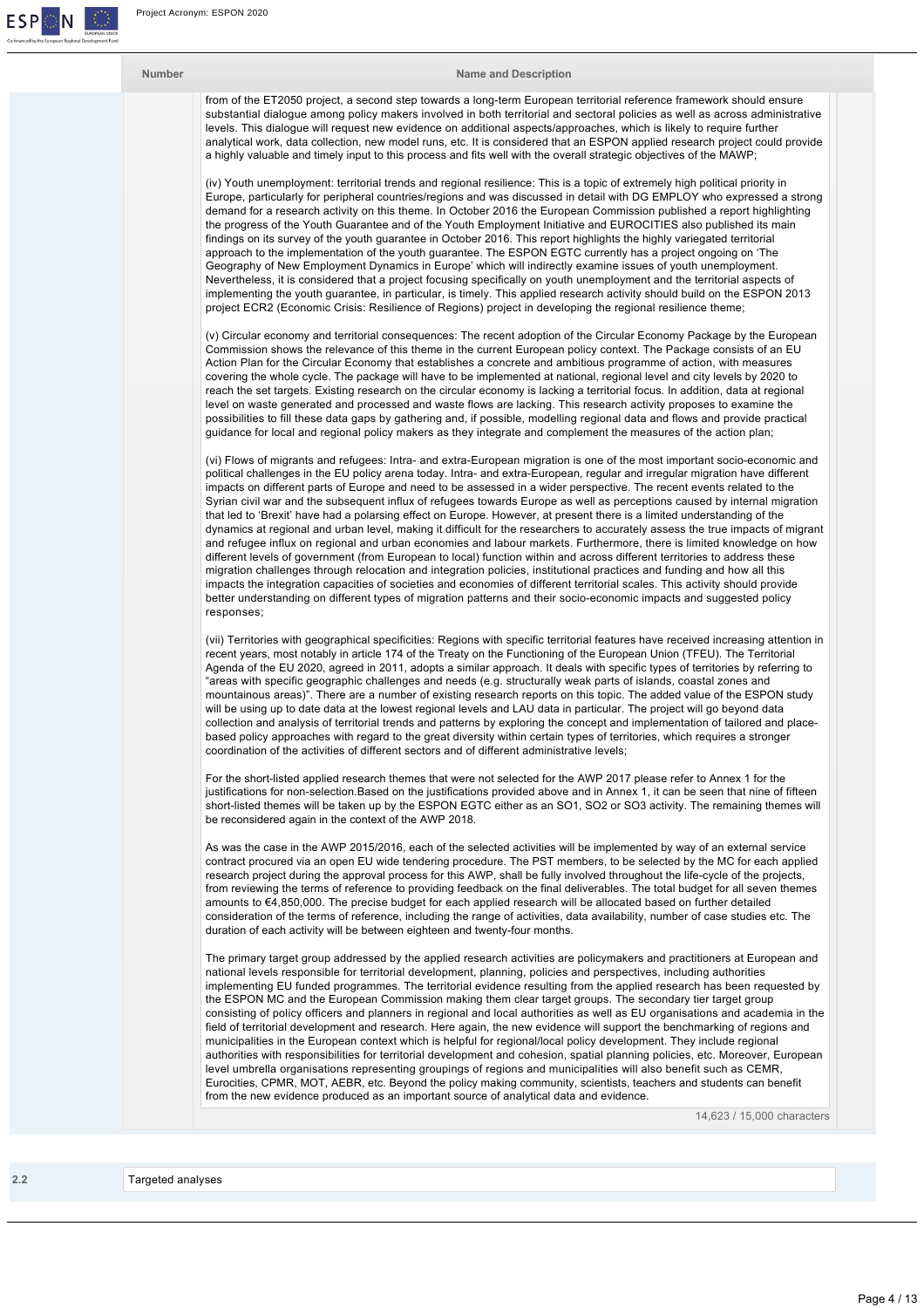

### **Number Name and Description**

from of the ET2050 project, a second step towards a long-term European territorial reference framework should ensure substantial dialogue among policy makers involved in both territorial and sectoral policies as well as across administrative levels. This dialogue will request new evidence on additional aspects/approaches, which is likely to require further analytical work, data collection, new model runs, etc. It is considered that an ESPON applied research project could provide a highly valuable and timely input to this process and fits well with the overall strategic objectives of the MAWP;

(iv) Youth unemployment: territorial trends and regional resilience: This is a topic of extremely high political priority in Europe, particularly for peripheral countries/regions and was discussed in detail with DG EMPLOY who expressed a strong demand for a research activity on this theme. In October 2016 the European Commission published a report highlighting the progress of the Youth Guarantee and of the Youth Employment Initiative and EUROCITIES also published its main findings on its survey of the youth guarantee in October 2016. This report highlights the highly variegated territorial approach to the implementation of the youth guarantee. The ESPON EGTC currently has a project ongoing on 'The Geography of New Employment Dynamics in Europe' which will indirectly examine issues of youth unemployment. Nevertheless, it is considered that a project focusing specifically on youth unemployment and the territorial aspects of implementing the youth guarantee, in particular, is timely. This applied research activity should build on the ESPON 2013 project ECR2 (Economic Crisis: Resilience of Regions) project in developing the regional resilience theme;

(v) Circular economy and territorial consequences: The recent adoption of the Circular Economy Package by the European Commission shows the relevance of this theme in the current European policy context. The Package consists of an EU Action Plan for the Circular Economy that establishes a concrete and ambitious programme of action, with measures covering the whole cycle. The package will have to be implemented at national, regional level and city levels by 2020 to reach the set targets. Existing research on the circular economy is lacking a territorial focus. In addition, data at regional level on waste generated and processed and waste flows are lacking. This research activity proposes to examine the possibilities to fill these data gaps by gathering and, if possible, modelling regional data and flows and provide practical guidance for local and regional policy makers as they integrate and complement the measures of the action plan;

(vi) Flows of migrants and refugees: Intra- and extra-European migration is one of the most important socio-economic and political challenges in the EU policy arena today. Intra- and extra-European, regular and irregular migration have different impacts on different parts of Europe and need to be assessed in a wider perspective. The recent events related to the Syrian civil war and the subsequent influx of refugees towards Europe as well as perceptions caused by internal migration that led to 'Brexit' have had a polarsing effect on Europe. However, at present there is a limited understanding of the dynamics at regional and urban level, making it difficult for the researchers to accurately assess the true impacts of migrant and refugee influx on regional and urban economies and labour markets. Furthermore, there is limited knowledge on how different levels of government (from European to local) function within and across different territories to address these migration challenges through relocation and integration policies, institutional practices and funding and how all this impacts the integration capacities of societies and economies of different territorial scales. This activity should provide better understanding on different types of migration patterns and their socio-economic impacts and suggested policy responses;

(vii) Territories with geographical specificities: Regions with specific territorial features have received increasing attention in recent years, most notably in article 174 of the Treaty on the Functioning of the European Union (TFEU). The Territorial Agenda of the EU 2020, agreed in 2011, adopts a similar approach. It deals with specific types of territories by referring to "areas with specific geographic challenges and needs (e.g. structurally weak parts of islands, coastal zones and mountainous areas)". There are a number of existing research reports on this topic. The added value of the ESPON study will be using up to date data at the lowest regional levels and LAU data in particular. The project will go beyond data collection and analysis of territorial trends and patterns by exploring the concept and implementation of tailored and placebased policy approaches with regard to the great diversity within certain types of territories, which requires a stronger coordination of the activities of different sectors and of different administrative levels;

For the short-listed applied research themes that were not selected for the AWP 2017 please refer to Annex 1 for the justifications for non-selection.Based on the justifications provided above and in Annex 1, it can be seen that nine of fifteen short-listed themes will be taken up by the ESPON EGTC either as an SO1, SO2 or SO3 activity. The remaining themes will be reconsidered again in the context of the AWP 2018.

As was the case in the AWP 2015/2016, each of the selected activities will be implemented by way of an external service contract procured via an open EU wide tendering procedure. The PST members, to be selected by the MC for each applied research project during the approval process for this AWP, shall be fully involved throughout the lifecycle of the projects, from reviewing the terms of reference to providing feedback on the final deliverables. The total budget for all seven themes amounts to €4,850,000. The precise budget for each applied research will be allocated based on further detailed consideration of the terms of reference, including the range of activities, data availability, number of case studies etc. The duration of each activity will be between eighteen and twenty-four months.

The primary target group addressed by the applied research activities are policymakers and practitioners at European and national levels responsible for territorial development, planning, policies and perspectives, including authorities implementing EU funded programmes. The territorial evidence resulting from the applied research has been requested by the ESPON MC and the European Commission making them clear target groups. The secondary tier target group consisting of policy officers and planners in regional and local authorities as well as EU organisations and academia in the field of territorial development and research. Here again, the new evidence will support the benchmarking of regions and municipalities in the European context which is helpful for regional/local policy development. They include regional authorities with responsibilities for territorial development and cohesion, spatial planning policies, etc. Moreover, European level umbrella organisations representing groupings of regions and municipalities will also benefit such as CEMR, Eurocities, CPMR, MOT, AEBR, etc. Beyond the policy making community, scientists, teachers and students can benefit from the new evidence produced as an important source of analytical data and evidence.

14,623 / 15,000 characters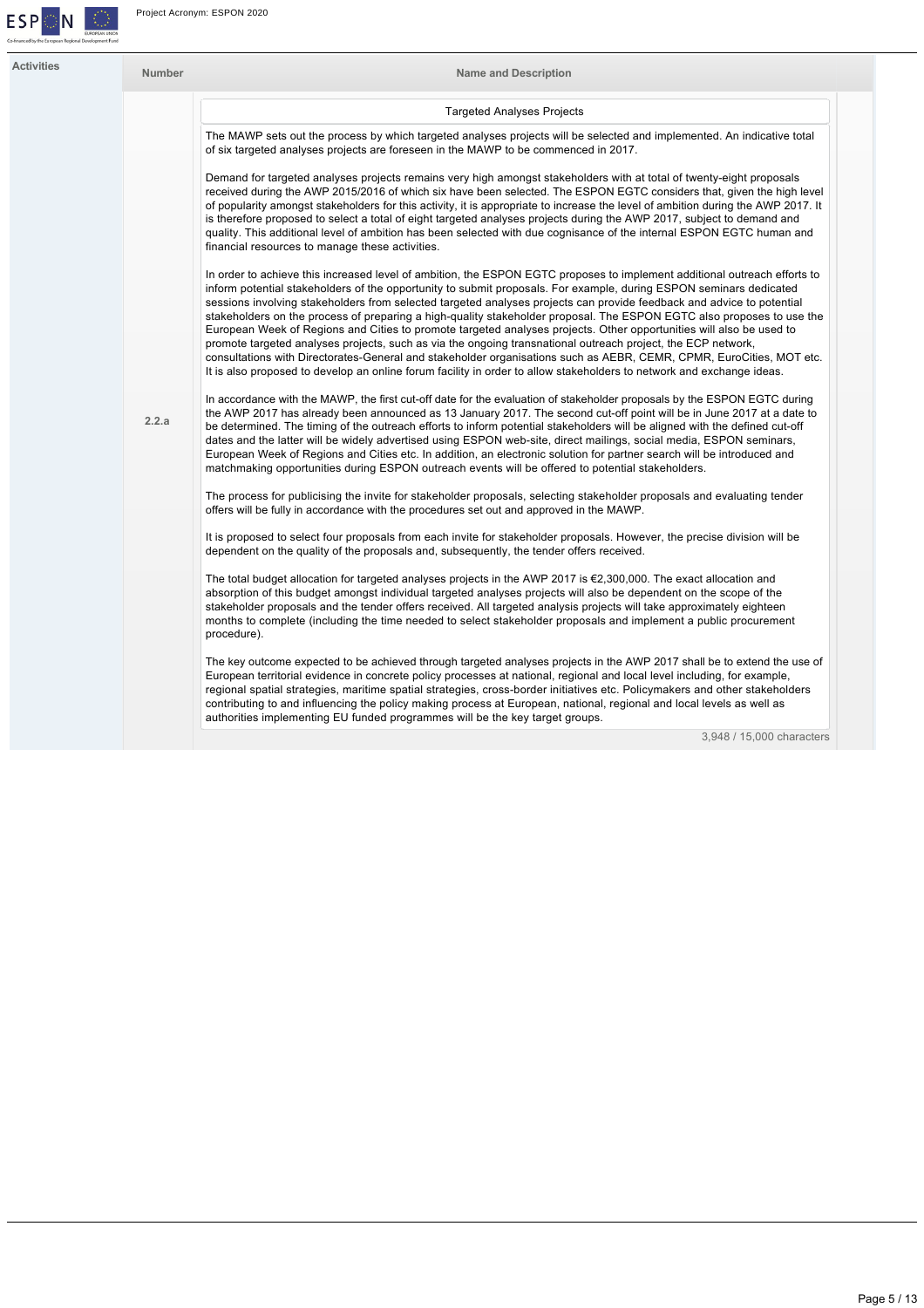

| Activities | <b>Number</b> | <b>Name and Description</b>                                                                                                                                                                                                                                                                                                                                                                                                                                                                                                                                                                                                                                                                                                             |
|------------|---------------|-----------------------------------------------------------------------------------------------------------------------------------------------------------------------------------------------------------------------------------------------------------------------------------------------------------------------------------------------------------------------------------------------------------------------------------------------------------------------------------------------------------------------------------------------------------------------------------------------------------------------------------------------------------------------------------------------------------------------------------------|
|            |               | <b>Targeted Analyses Projects</b>                                                                                                                                                                                                                                                                                                                                                                                                                                                                                                                                                                                                                                                                                                       |
|            |               | The MAWP sets out the process by which targeted analyses projects will be selected and implemented. An indicative total<br>of six targeted analyses projects are foreseen in the MAWP to be commenced in 2017.                                                                                                                                                                                                                                                                                                                                                                                                                                                                                                                          |
|            |               | Demand for targeted analyses projects remains very high amongst stakeholders with at total of twenty-eight proposals<br>received during the AWP 2015/2016 of which six have been selected. The ESPON EGTC considers that, given the high level<br>of popularity amongst stakeholders for this activity, it is appropriate to increase the level of ambition during the AWP 2017. It<br>is therefore proposed to select a total of eight targeted analyses projects during the AWP 2017, subject to demand and<br>quality. This additional level of ambition has been selected with due cognisance of the internal ESPON EGTC human and<br>financial resources to manage these activities.                                               |
|            |               | In order to achieve this increased level of ambition, the ESPON EGTC proposes to implement additional outreach efforts to<br>inform potential stakeholders of the opportunity to submit proposals. For example, during ESPON seminars dedicated<br>sessions involving stakeholders from selected targeted analyses projects can provide feedback and advice to potential<br>stakeholders on the process of preparing a high-quality stakeholder proposal. The ESPON EGTC also proposes to use the<br>European Week of Regions and Cities to promote targeted analyses projects. Other opportunities will also be used to                                                                                                                |
|            |               | promote targeted analyses projects, such as via the ongoing transnational outreach project, the ECP network,<br>consultations with Directorates-General and stakeholder organisations such as AEBR, CEMR, CPMR, EuroCities, MOT etc.<br>It is also proposed to develop an online forum facility in order to allow stakeholders to network and exchange ideas.                                                                                                                                                                                                                                                                                                                                                                           |
|            | 2.2.a         | In accordance with the MAWP, the first cut-off date for the evaluation of stakeholder proposals by the ESPON EGTC during<br>the AWP 2017 has already been announced as 13 January 2017. The second cut-off point will be in June 2017 at a date to<br>be determined. The timing of the outreach efforts to inform potential stakeholders will be aligned with the defined cut-off<br>dates and the latter will be widely advertised using ESPON web-site, direct mailings, social media, ESPON seminars,<br>European Week of Regions and Cities etc. In addition, an electronic solution for partner search will be introduced and<br>matchmaking opportunities during ESPON outreach events will be offered to potential stakeholders. |
|            |               | The process for publicising the invite for stakeholder proposals, selecting stakeholder proposals and evaluating tender<br>offers will be fully in accordance with the procedures set out and approved in the MAWP.                                                                                                                                                                                                                                                                                                                                                                                                                                                                                                                     |
|            |               | It is proposed to select four proposals from each invite for stakeholder proposals. However, the precise division will be<br>dependent on the quality of the proposals and, subsequently, the tender offers received.                                                                                                                                                                                                                                                                                                                                                                                                                                                                                                                   |
|            |               | The total budget allocation for targeted analyses projects in the AWP 2017 is $\epsilon$ 2,300,000. The exact allocation and<br>absorption of this budget amongst individual targeted analyses projects will also be dependent on the scope of the<br>stakeholder proposals and the tender offers received. All targeted analysis projects will take approximately eighteen<br>months to complete (including the time needed to select stakeholder proposals and implement a public procurement<br>procedure).                                                                                                                                                                                                                          |
|            |               | The key outcome expected to be achieved through targeted analyses projects in the AWP 2017 shall be to extend the use of<br>European territorial evidence in concrete policy processes at national, regional and local level including, for example,<br>regional spatial strategies, maritime spatial strategies, cross-border initiatives etc. Policymakers and other stakeholders<br>contributing to and influencing the policy making process at European, national, regional and local levels as well as                                                                                                                                                                                                                            |

authorities implementing EU funded programmes will be the key target groups.

3,948 / 15,000 characters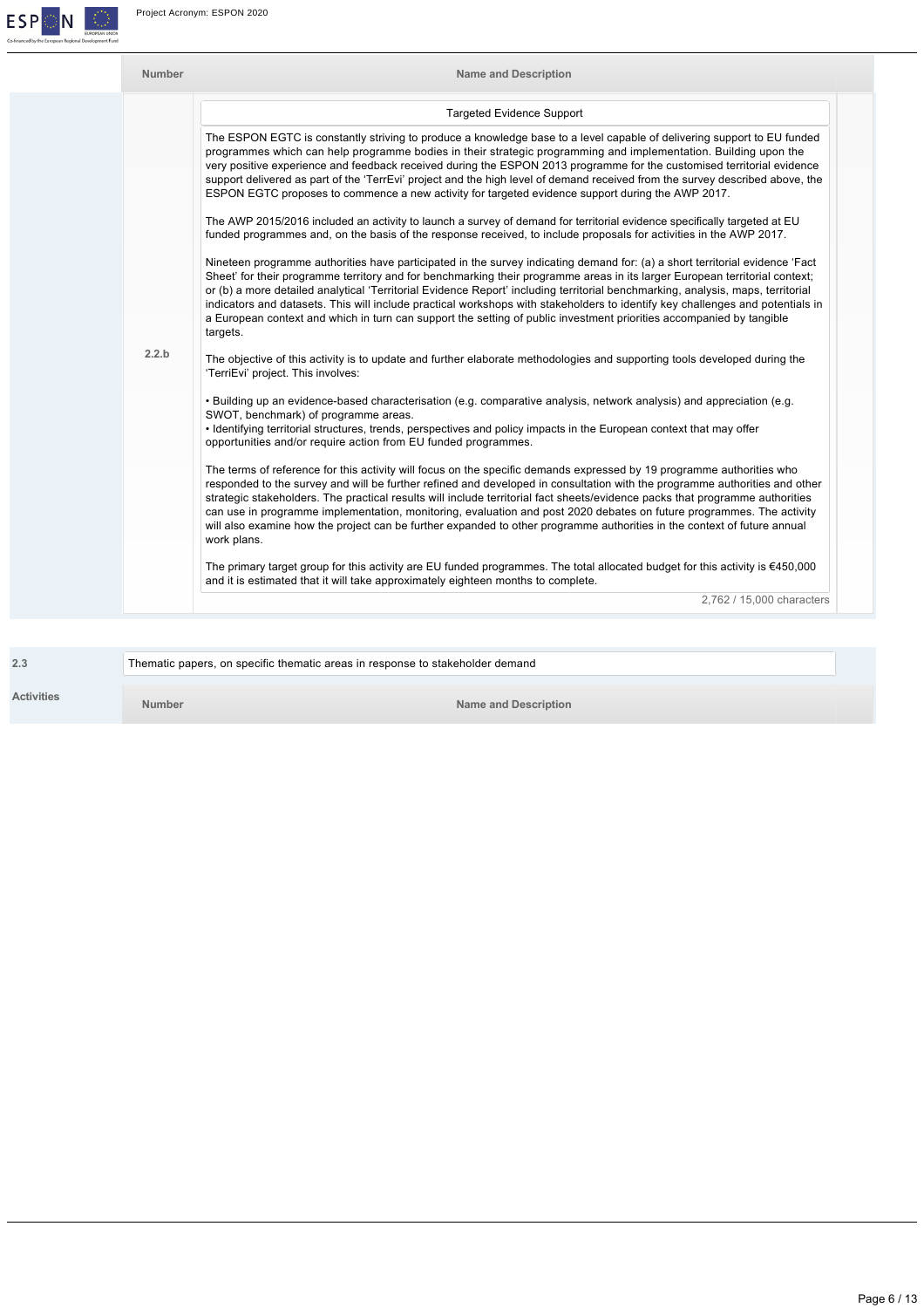

| <b>Number</b> | <b>Name and Description</b>                                                                                                                                                                                                                                                                                                                                                                                                                                                                                                                                                                                                                                         |
|---------------|---------------------------------------------------------------------------------------------------------------------------------------------------------------------------------------------------------------------------------------------------------------------------------------------------------------------------------------------------------------------------------------------------------------------------------------------------------------------------------------------------------------------------------------------------------------------------------------------------------------------------------------------------------------------|
|               | <b>Targeted Evidence Support</b>                                                                                                                                                                                                                                                                                                                                                                                                                                                                                                                                                                                                                                    |
|               | The ESPON EGTC is constantly striving to produce a knowledge base to a level capable of delivering support to EU funded<br>programmes which can help programme bodies in their strategic programming and implementation. Building upon the<br>very positive experience and feedback received during the ESPON 2013 programme for the customised territorial evidence<br>support delivered as part of the 'TerrEvi' project and the high level of demand received from the survey described above, the<br>ESPON EGTC proposes to commence a new activity for targeted evidence support during the AWP 2017.                                                          |
|               | The AWP 2015/2016 included an activity to launch a survey of demand for territorial evidence specifically targeted at EU<br>funded programmes and, on the basis of the response received, to include proposals for activities in the AWP 2017.                                                                                                                                                                                                                                                                                                                                                                                                                      |
|               | Nineteen programme authorities have participated in the survey indicating demand for: (a) a short territorial evidence 'Fact<br>Sheet' for their programme territory and for benchmarking their programme areas in its larger European territorial context;<br>or (b) a more detailed analytical 'Territorial Evidence Report' including territorial benchmarking, analysis, maps, territorial<br>indicators and datasets. This will include practical workshops with stakeholders to identify key challenges and potentials in<br>a European context and which in turn can support the setting of public investment priorities accompanied by tangible<br>targets. |
| 2.2.b         | The objective of this activity is to update and further elaborate methodologies and supporting tools developed during the<br>'TerriEvi' project. This involves:                                                                                                                                                                                                                                                                                                                                                                                                                                                                                                     |
|               | . Building up an evidence-based characterisation (e.g. comparative analysis, network analysis) and appreciation (e.g.<br>SWOT, benchmark) of programme areas.<br>• Identifying territorial structures, trends, perspectives and policy impacts in the European context that may offer<br>opportunities and/or require action from EU funded programmes.                                                                                                                                                                                                                                                                                                             |
|               | The terms of reference for this activity will focus on the specific demands expressed by 19 programme authorities who<br>responded to the survey and will be further refined and developed in consultation with the programme authorities and other<br>strategic stakeholders. The practical results will include territorial fact sheets/evidence packs that programme authorities<br>can use in programme implementation, monitoring, evaluation and post 2020 debates on future programmes. The activity<br>will also examine how the project can be further expanded to other programme authorities in the context of future annual<br>work plans.              |
|               | The primary target group for this activity are EU funded programmes. The total allocated budget for this activity is $6450,000$<br>and it is estimated that it will take approximately eighteen months to complete.                                                                                                                                                                                                                                                                                                                                                                                                                                                 |
|               | 2,762 / 15,000 characters                                                                                                                                                                                                                                                                                                                                                                                                                                                                                                                                                                                                                                           |

|                   | Thematic papers, on specific thematic areas in response to stakeholder demand |                      |
|-------------------|-------------------------------------------------------------------------------|----------------------|
| <b>Activities</b> | Number                                                                        | Name and Description |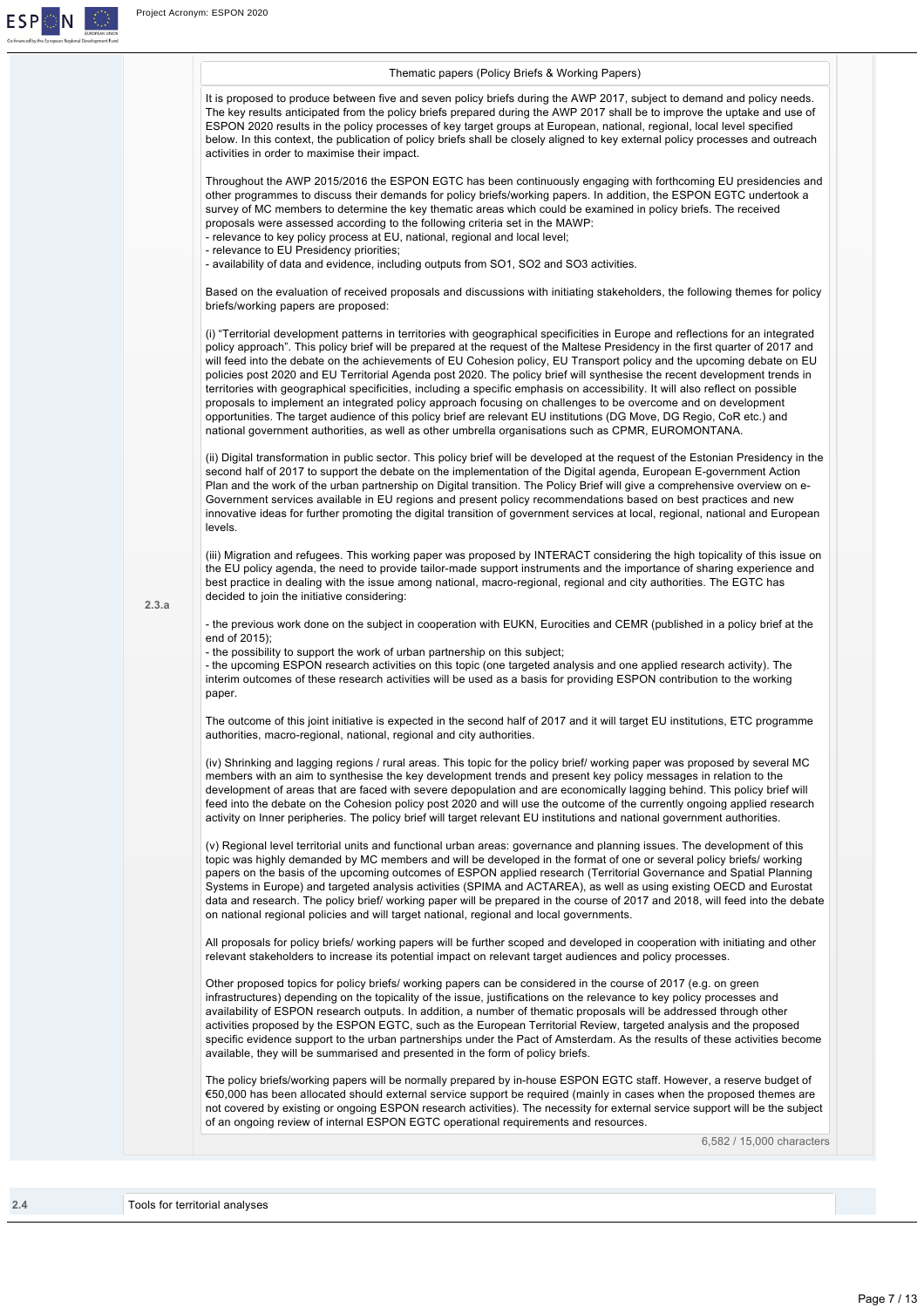

|       | Thematic papers (Policy Briefs & Working Papers)                                                                                                                                                                                                                                                                                                                                                                                                                                                                                                                                                                                                                                                                                                                                                                                                                                                                                                                                                             |
|-------|--------------------------------------------------------------------------------------------------------------------------------------------------------------------------------------------------------------------------------------------------------------------------------------------------------------------------------------------------------------------------------------------------------------------------------------------------------------------------------------------------------------------------------------------------------------------------------------------------------------------------------------------------------------------------------------------------------------------------------------------------------------------------------------------------------------------------------------------------------------------------------------------------------------------------------------------------------------------------------------------------------------|
|       | It is proposed to produce between five and seven policy briefs during the AWP 2017, subject to demand and policy needs.<br>The key results anticipated from the policy briefs prepared during the AWP 2017 shall be to improve the uptake and use of<br>ESPON 2020 results in the policy processes of key target groups at European, national, regional, local level specified<br>below. In this context, the publication of policy briefs shall be closely aligned to key external policy processes and outreach<br>activities in order to maximise their impact.                                                                                                                                                                                                                                                                                                                                                                                                                                           |
|       | Throughout the AWP 2015/2016 the ESPON EGTC has been continuously engaging with forthcoming EU presidencies and<br>other programmes to discuss their demands for policy briefs/working papers. In addition, the ESPON EGTC undertook a<br>survey of MC members to determine the key thematic areas which could be examined in policy briefs. The received<br>proposals were assessed according to the following criteria set in the MAWP:<br>- relevance to key policy process at EU, national, regional and local level;<br>- relevance to EU Presidency priorities;                                                                                                                                                                                                                                                                                                                                                                                                                                        |
|       | - availability of data and evidence, including outputs from SO1, SO2 and SO3 activities.                                                                                                                                                                                                                                                                                                                                                                                                                                                                                                                                                                                                                                                                                                                                                                                                                                                                                                                     |
|       | Based on the evaluation of received proposals and discussions with initiating stakeholders, the following themes for policy<br>briefs/working papers are proposed:                                                                                                                                                                                                                                                                                                                                                                                                                                                                                                                                                                                                                                                                                                                                                                                                                                           |
|       | (i) "Territorial development patterns in territories with geographical specificities in Europe and reflections for an integrated<br>policy approach". This policy brief will be prepared at the request of the Maltese Presidency in the first quarter of 2017 and<br>will feed into the debate on the achievements of EU Cohesion policy, EU Transport policy and the upcoming debate on EU<br>policies post 2020 and EU Territorial Agenda post 2020. The policy brief will synthesise the recent development trends in<br>territories with geographical specificities, including a specific emphasis on accessibility. It will also reflect on possible<br>proposals to implement an integrated policy approach focusing on challenges to be overcome and on development<br>opportunities. The target audience of this policy brief are relevant EU institutions (DG Move, DG Regio, CoR etc.) and<br>national government authorities, as well as other umbrella organisations such as CPMR, EUROMONTANA. |
|       | (ii) Digital transformation in public sector. This policy brief will be developed at the request of the Estonian Presidency in the<br>second half of 2017 to support the debate on the implementation of the Digital agenda, European E-government Action<br>Plan and the work of the urban partnership on Digital transition. The Policy Brief will give a comprehensive overview on e-<br>Government services available in EU regions and present policy recommendations based on best practices and new<br>innovative ideas for further promoting the digital transition of government services at local, regional, national and European<br>levels.                                                                                                                                                                                                                                                                                                                                                      |
| 2.3.a | (iii) Migration and refugees. This working paper was proposed by INTERACT considering the high topicality of this issue on<br>the EU policy agenda, the need to provide tailor-made support instruments and the importance of sharing experience and<br>best practice in dealing with the issue among national, macro-regional, regional and city authorities. The EGTC has<br>decided to join the initiative considering:                                                                                                                                                                                                                                                                                                                                                                                                                                                                                                                                                                                   |
|       | - the previous work done on the subject in cooperation with EUKN, Eurocities and CEMR (published in a policy brief at the<br>end of 2015);<br>- the possibility to support the work of urban partnership on this subject;<br>- the upcoming ESPON research activities on this topic (one targeted analysis and one applied research activity). The<br>interim outcomes of these research activities will be used as a basis for providing ESPON contribution to the working<br>paper.                                                                                                                                                                                                                                                                                                                                                                                                                                                                                                                        |
|       | The outcome of this joint initiative is expected in the second half of 2017 and it will target EU institutions, ETC programme<br>authorities, macro-regional, national, regional and city authorities.                                                                                                                                                                                                                                                                                                                                                                                                                                                                                                                                                                                                                                                                                                                                                                                                       |
|       | (iv) Shrinking and lagging regions / rural areas. This topic for the policy brief/ working paper was proposed by several MC<br>members with an aim to synthesise the key development trends and present key policy messages in relation to the<br>development of areas that are faced with severe depopulation and are economically lagging behind. This policy brief will<br>feed into the debate on the Cohesion policy post 2020 and will use the outcome of the currently ongoing applied research<br>activity on Inner peripheries. The policy brief will target relevant EU institutions and national government authorities.                                                                                                                                                                                                                                                                                                                                                                          |
|       | (v) Regional level territorial units and functional urban areas: governance and planning issues. The development of this<br>topic was highly demanded by MC members and will be developed in the format of one or several policy briefs/working<br>papers on the basis of the upcoming outcomes of ESPON applied research (Territorial Governance and Spatial Planning<br>Systems in Europe) and targeted analysis activities (SPIMA and ACTAREA), as well as using existing OECD and Eurostat<br>data and research. The policy brief/ working paper will be prepared in the course of 2017 and 2018, will feed into the debate<br>on national regional policies and will target national, regional and local governments.                                                                                                                                                                                                                                                                                   |
|       | All proposals for policy briefs/working papers will be further scoped and developed in cooperation with initiating and other<br>relevant stakeholders to increase its potential impact on relevant target audiences and policy processes.                                                                                                                                                                                                                                                                                                                                                                                                                                                                                                                                                                                                                                                                                                                                                                    |
|       | Other proposed topics for policy briefs/ working papers can be considered in the course of 2017 (e.g. on green<br>infrastructures) depending on the topicality of the issue, justifications on the relevance to key policy processes and<br>availability of ESPON research outputs. In addition, a number of thematic proposals will be addressed through other<br>activities proposed by the ESPON EGTC, such as the European Territorial Review, targeted analysis and the proposed<br>specific evidence support to the urban partnerships under the Pact of Amsterdam. As the results of these activities become<br>available, they will be summarised and presented in the form of policy briefs.                                                                                                                                                                                                                                                                                                        |
|       | The policy briefs/working papers will be normally prepared by in-house ESPON EGTC staff. However, a reserve budget of<br>€50,000 has been allocated should external service support be required (mainly in cases when the proposed themes are<br>not covered by existing or ongoing ESPON research activities). The necessity for external service support will be the subject<br>of an ongoing review of internal ESPON EGTC operational requirements and resources.                                                                                                                                                                                                                                                                                                                                                                                                                                                                                                                                        |
|       | 6,582 / 15,000 characters                                                                                                                                                                                                                                                                                                                                                                                                                                                                                                                                                                                                                                                                                                                                                                                                                                                                                                                                                                                    |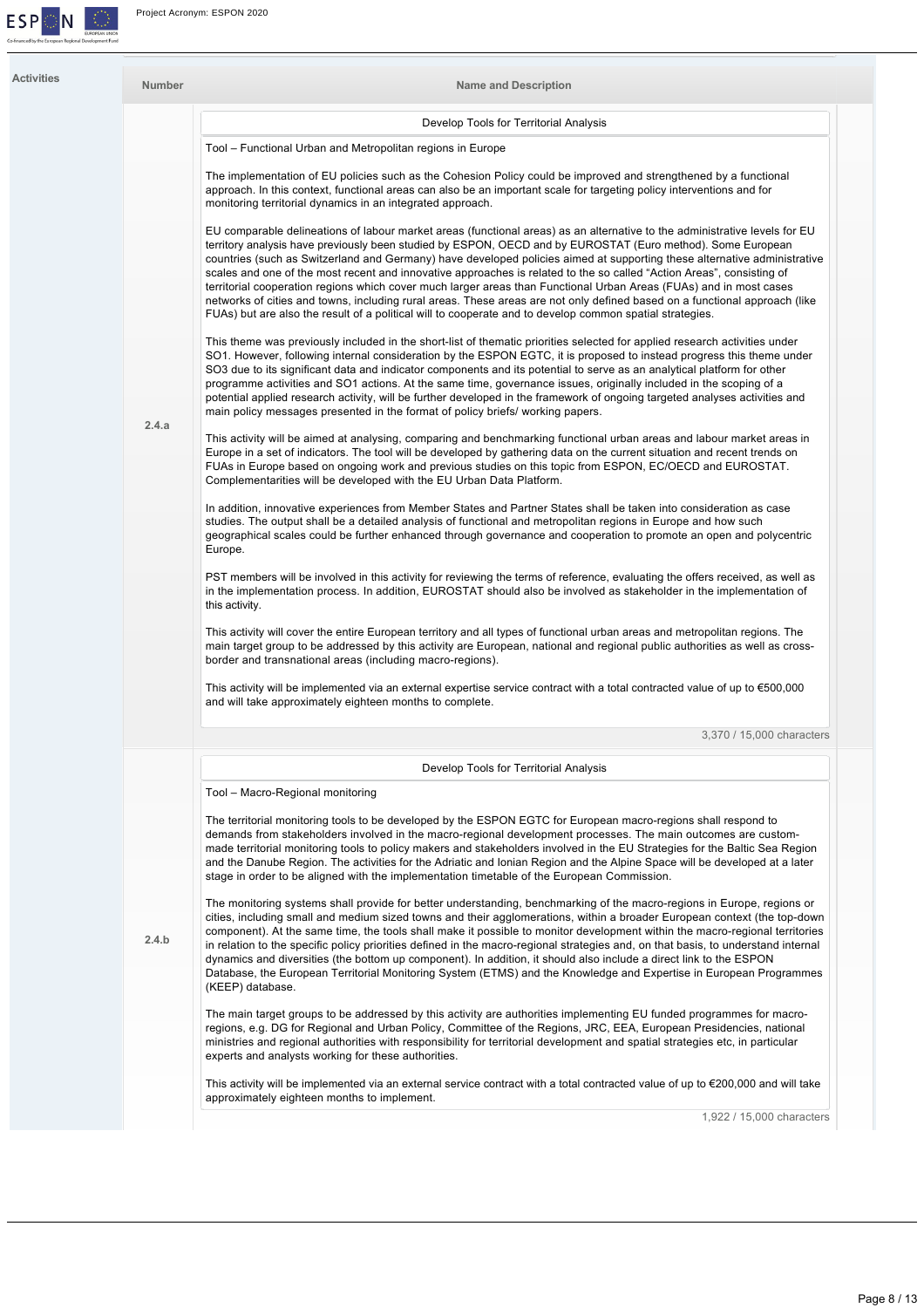

| <b>Activities</b> | <b>Number</b> | <b>Name and Description</b>                                                                                                                                                                                                                                                                                                                                                                                                                                                                                                                                                                                                                                                                                                                                                                                                                                    |
|-------------------|---------------|----------------------------------------------------------------------------------------------------------------------------------------------------------------------------------------------------------------------------------------------------------------------------------------------------------------------------------------------------------------------------------------------------------------------------------------------------------------------------------------------------------------------------------------------------------------------------------------------------------------------------------------------------------------------------------------------------------------------------------------------------------------------------------------------------------------------------------------------------------------|
|                   |               | Develop Tools for Territorial Analysis                                                                                                                                                                                                                                                                                                                                                                                                                                                                                                                                                                                                                                                                                                                                                                                                                         |
|                   |               | Tool - Functional Urban and Metropolitan regions in Europe                                                                                                                                                                                                                                                                                                                                                                                                                                                                                                                                                                                                                                                                                                                                                                                                     |
|                   |               | The implementation of EU policies such as the Cohesion Policy could be improved and strengthened by a functional<br>approach. In this context, functional areas can also be an important scale for targeting policy interventions and for<br>monitoring territorial dynamics in an integrated approach.                                                                                                                                                                                                                                                                                                                                                                                                                                                                                                                                                        |
|                   |               | EU comparable delineations of labour market areas (functional areas) as an alternative to the administrative levels for EU<br>territory analysis have previously been studied by ESPON, OECD and by EUROSTAT (Euro method). Some European<br>countries (such as Switzerland and Germany) have developed policies aimed at supporting these alternative administrative<br>scales and one of the most recent and innovative approaches is related to the so called "Action Areas", consisting of<br>territorial cooperation regions which cover much larger areas than Functional Urban Areas (FUAs) and in most cases<br>networks of cities and towns, including rural areas. These areas are not only defined based on a functional approach (like<br>FUAs) but are also the result of a political will to cooperate and to develop common spatial strategies. |
|                   |               | This theme was previously included in the short-list of thematic priorities selected for applied research activities under<br>SO1. However, following internal consideration by the ESPON EGTC, it is proposed to instead progress this theme under<br>SO3 due to its significant data and indicator components and its potential to serve as an analytical platform for other<br>programme activities and SO1 actions. At the same time, governance issues, originally included in the scoping of a<br>potential applied research activity, will be further developed in the framework of ongoing targeted analyses activities and<br>main policy messages presented in the format of policy briefs/ working papers.                                                                                                                                          |
|                   | 2.4.a         | This activity will be aimed at analysing, comparing and benchmarking functional urban areas and labour market areas in<br>Europe in a set of indicators. The tool will be developed by gathering data on the current situation and recent trends on<br>FUAs in Europe based on ongoing work and previous studies on this topic from ESPON, EC/OECD and EUROSTAT.<br>Complementarities will be developed with the EU Urban Data Platform.                                                                                                                                                                                                                                                                                                                                                                                                                       |
|                   |               | In addition, innovative experiences from Member States and Partner States shall be taken into consideration as case<br>studies. The output shall be a detailed analysis of functional and metropolitan regions in Europe and how such<br>geographical scales could be further enhanced through governance and cooperation to promote an open and polycentric<br>Europe.                                                                                                                                                                                                                                                                                                                                                                                                                                                                                        |
|                   |               | PST members will be involved in this activity for reviewing the terms of reference, evaluating the offers received, as well as<br>in the implementation process. In addition, EUROSTAT should also be involved as stakeholder in the implementation of<br>this activity.                                                                                                                                                                                                                                                                                                                                                                                                                                                                                                                                                                                       |
|                   |               | This activity will cover the entire European territory and all types of functional urban areas and metropolitan regions. The<br>main target group to be addressed by this activity are European, national and regional public authorities as well as cross-<br>border and transnational areas (including macro-regions).                                                                                                                                                                                                                                                                                                                                                                                                                                                                                                                                       |
|                   |               | This activity will be implemented via an external expertise service contract with a total contracted value of up to $\epsilon$ 500,000<br>and will take approximately eighteen months to complete.                                                                                                                                                                                                                                                                                                                                                                                                                                                                                                                                                                                                                                                             |
|                   |               | 3,370 / 15,000 characters                                                                                                                                                                                                                                                                                                                                                                                                                                                                                                                                                                                                                                                                                                                                                                                                                                      |
|                   |               | Develop Tools for Territorial Analysis                                                                                                                                                                                                                                                                                                                                                                                                                                                                                                                                                                                                                                                                                                                                                                                                                         |
|                   |               | Tool - Macro-Regional monitoring                                                                                                                                                                                                                                                                                                                                                                                                                                                                                                                                                                                                                                                                                                                                                                                                                               |
|                   |               | The territorial monitoring tools to be developed by the ESPON EGTC for European macro-regions shall respond to<br>demands from stakeholders involved in the macro-regional development processes. The main outcomes are custom-<br>made territorial monitoring tools to policy makers and stakeholders involved in the EU Strategies for the Baltic Sea Region<br>and the Danube Region. The activities for the Adriatic and Ionian Region and the Alpine Space will be developed at a later<br>stage in order to be aligned with the implementation timetable of the European Commission.                                                                                                                                                                                                                                                                     |
|                   | 2.4.b         | The monitoring systems shall provide for better understanding, benchmarking of the macro-regions in Europe, regions or<br>cities, including small and medium sized towns and their agglomerations, within a broader European context (the top-down<br>component). At the same time, the tools shall make it possible to monitor development within the macro-regional territories<br>in relation to the specific policy priorities defined in the macro-regional strategies and, on that basis, to understand internal<br>dynamics and diversities (the bottom up component). In addition, it should also include a direct link to the ESPON<br>Database, the European Territorial Monitoring System (ETMS) and the Knowledge and Expertise in European Programmes<br>(KEEP) database.                                                                         |
|                   |               | The main target groups to be addressed by this activity are authorities implementing EU funded programmes for macro-<br>regions, e.g. DG for Regional and Urban Policy, Committee of the Regions, JRC, EEA, European Presidencies, national<br>ministries and regional authorities with responsibility for territorial development and spatial strategies etc, in particular<br>experts and analysts working for these authorities.                                                                                                                                                                                                                                                                                                                                                                                                                            |
|                   |               | This activity will be implemented via an external service contract with a total contracted value of up to $\epsilon$ 200,000 and will take<br>approximately eighteen months to implement.                                                                                                                                                                                                                                                                                                                                                                                                                                                                                                                                                                                                                                                                      |
|                   |               | 1,922 / 15,000 characters                                                                                                                                                                                                                                                                                                                                                                                                                                                                                                                                                                                                                                                                                                                                                                                                                                      |
|                   |               |                                                                                                                                                                                                                                                                                                                                                                                                                                                                                                                                                                                                                                                                                                                                                                                                                                                                |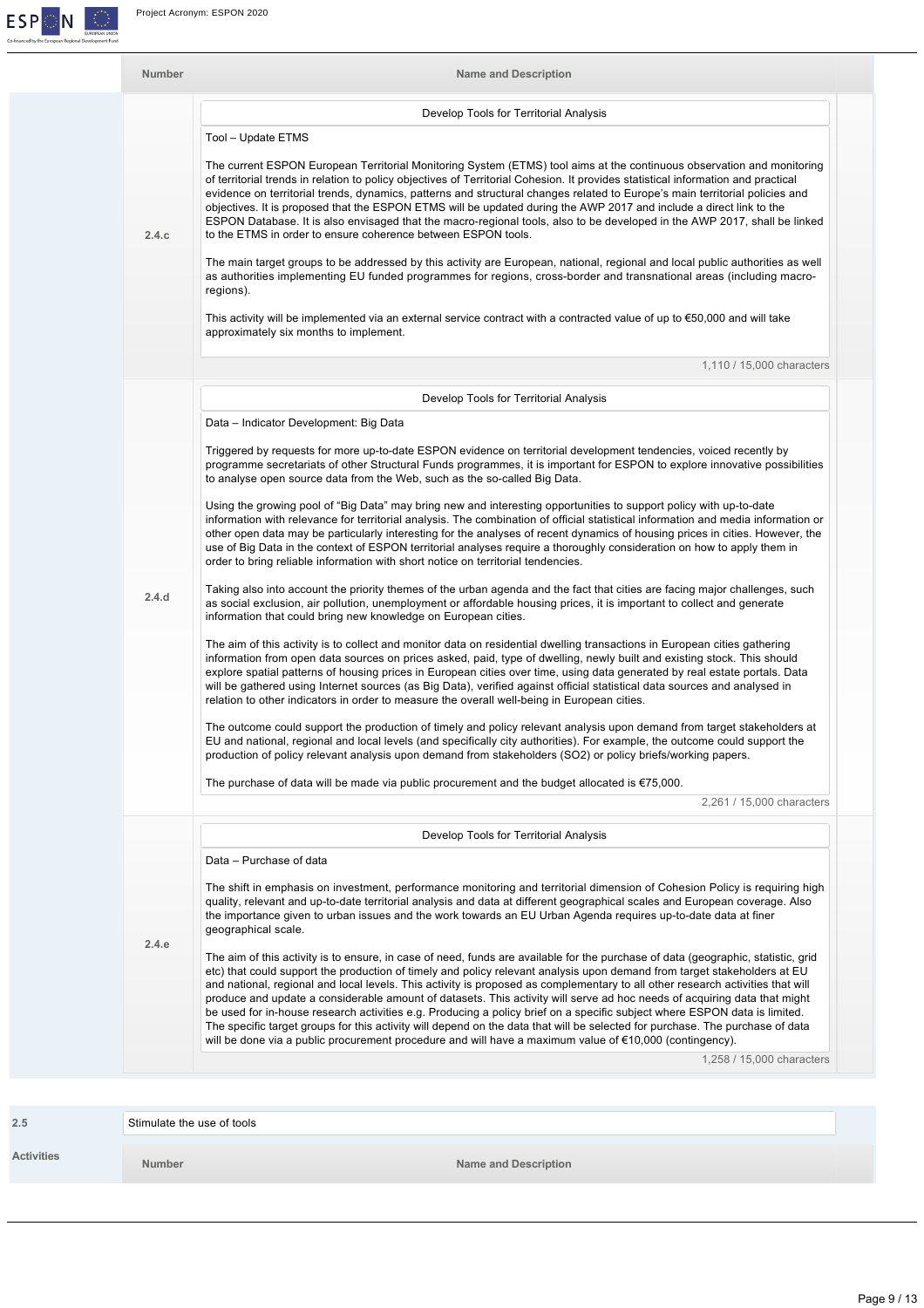| <b>Number</b> | <b>Name and Description</b>                                                                                                                                                                                                                                                                                                                                                                                                                                                                                                                                                                                                                                                                                                                                                                                                                                                                                    |
|---------------|----------------------------------------------------------------------------------------------------------------------------------------------------------------------------------------------------------------------------------------------------------------------------------------------------------------------------------------------------------------------------------------------------------------------------------------------------------------------------------------------------------------------------------------------------------------------------------------------------------------------------------------------------------------------------------------------------------------------------------------------------------------------------------------------------------------------------------------------------------------------------------------------------------------|
|               | Develop Tools for Territorial Analysis                                                                                                                                                                                                                                                                                                                                                                                                                                                                                                                                                                                                                                                                                                                                                                                                                                                                         |
|               | Tool - Update ETMS                                                                                                                                                                                                                                                                                                                                                                                                                                                                                                                                                                                                                                                                                                                                                                                                                                                                                             |
| 2.4.c         | The current ESPON European Territorial Monitoring System (ETMS) tool aims at the continuous observation and monitoring<br>of territorial trends in relation to policy objectives of Territorial Cohesion. It provides statistical information and practical<br>evidence on territorial trends, dynamics, patterns and structural changes related to Europe's main territorial policies and<br>objectives. It is proposed that the ESPON ETMS will be updated during the AWP 2017 and include a direct link to the<br>ESPON Database. It is also envisaged that the macro-regional tools, also to be developed in the AWP 2017, shall be linked<br>to the ETMS in order to ensure coherence between ESPON tools.                                                                                                                                                                                                |
|               | The main target groups to be addressed by this activity are European, national, regional and local public authorities as well<br>as authorities implementing EU funded programmes for regions, cross-border and transnational areas (including macro-<br>regions).                                                                                                                                                                                                                                                                                                                                                                                                                                                                                                                                                                                                                                             |
|               | This activity will be implemented via an external service contract with a contracted value of up to $\epsilon$ 50,000 and will take<br>approximately six months to implement.                                                                                                                                                                                                                                                                                                                                                                                                                                                                                                                                                                                                                                                                                                                                  |
|               | 1,110 / 15,000 characters                                                                                                                                                                                                                                                                                                                                                                                                                                                                                                                                                                                                                                                                                                                                                                                                                                                                                      |
|               | Develop Tools for Territorial Analysis                                                                                                                                                                                                                                                                                                                                                                                                                                                                                                                                                                                                                                                                                                                                                                                                                                                                         |
|               | Data - Indicator Development: Big Data                                                                                                                                                                                                                                                                                                                                                                                                                                                                                                                                                                                                                                                                                                                                                                                                                                                                         |
|               | Triggered by requests for more up-to-date ESPON evidence on territorial development tendencies, voiced recently by<br>programme secretariats of other Structural Funds programmes, it is important for ESPON to explore innovative possibilities<br>to analyse open source data from the Web, such as the so-called Big Data.                                                                                                                                                                                                                                                                                                                                                                                                                                                                                                                                                                                  |
|               | Using the growing pool of "Big Data" may bring new and interesting opportunities to support policy with up-to-date<br>information with relevance for territorial analysis. The combination of official statistical information and media information or<br>other open data may be particularly interesting for the analyses of recent dynamics of housing prices in cities. However, the<br>use of Big Data in the context of ESPON territorial analyses require a thoroughly consideration on how to apply them in<br>order to bring reliable information with short notice on territorial tendencies.                                                                                                                                                                                                                                                                                                        |
| 2.4.d         | Taking also into account the priority themes of the urban agenda and the fact that cities are facing major challenges, such<br>as social exclusion, air pollution, unemployment or affordable housing prices, it is important to collect and generate<br>information that could bring new knowledge on European cities.                                                                                                                                                                                                                                                                                                                                                                                                                                                                                                                                                                                        |
|               | The aim of this activity is to collect and monitor data on residential dwelling transactions in European cities gathering<br>information from open data sources on prices asked, paid, type of dwelling, newly built and existing stock. This should<br>explore spatial patterns of housing prices in European cities over time, using data generated by real estate portals. Data<br>will be gathered using Internet sources (as Big Data), verified against official statistical data sources and analysed in<br>relation to other indicators in order to measure the overall well-being in European cities.                                                                                                                                                                                                                                                                                                 |
|               | The outcome could support the production of timely and policy relevant analysis upon demand from target stakeholders at<br>EU and national, regional and local levels (and specifically city authorities). For example, the outcome could support the<br>production of policy relevant analysis upon demand from stakeholders (SO2) or policy briefs/working papers.                                                                                                                                                                                                                                                                                                                                                                                                                                                                                                                                           |
|               | The purchase of data will be made via public procurement and the budget allocated is $\epsilon$ 75,000.                                                                                                                                                                                                                                                                                                                                                                                                                                                                                                                                                                                                                                                                                                                                                                                                        |
|               | 2,261 / 15,000 characters                                                                                                                                                                                                                                                                                                                                                                                                                                                                                                                                                                                                                                                                                                                                                                                                                                                                                      |
|               | Develop Tools for Territorial Analysis                                                                                                                                                                                                                                                                                                                                                                                                                                                                                                                                                                                                                                                                                                                                                                                                                                                                         |
|               | Data - Purchase of data                                                                                                                                                                                                                                                                                                                                                                                                                                                                                                                                                                                                                                                                                                                                                                                                                                                                                        |
|               | The shift in emphasis on investment, performance monitoring and territorial dimension of Cohesion Policy is requiring high<br>quality, relevant and up-to-date territorial analysis and data at different geographical scales and European coverage. Also<br>the importance given to urban issues and the work towards an EU Urban Agenda requires up-to-date data at finer<br>geographical scale.                                                                                                                                                                                                                                                                                                                                                                                                                                                                                                             |
| 2.4.e         | The aim of this activity is to ensure, in case of need, funds are available for the purchase of data (geographic, statistic, grid<br>etc) that could support the production of timely and policy relevant analysis upon demand from target stakeholders at EU<br>and national, regional and local levels. This activity is proposed as complementary to all other research activities that will<br>produce and update a considerable amount of datasets. This activity will serve ad hoc needs of acquiring data that might<br>be used for in-house research activities e.g. Producing a policy brief on a specific subject where ESPON data is limited.<br>The specific target groups for this activity will depend on the data that will be selected for purchase. The purchase of data<br>will be done via a public procurement procedure and will have a maximum value of $\epsilon$ 10,000 (contingency). |

| 2.5               | Stimulate the use of tools |                             |  |
|-------------------|----------------------------|-----------------------------|--|
| <b>Activities</b> | <b>Number</b>              | <b>Name and Description</b> |  |
|                   |                            |                             |  |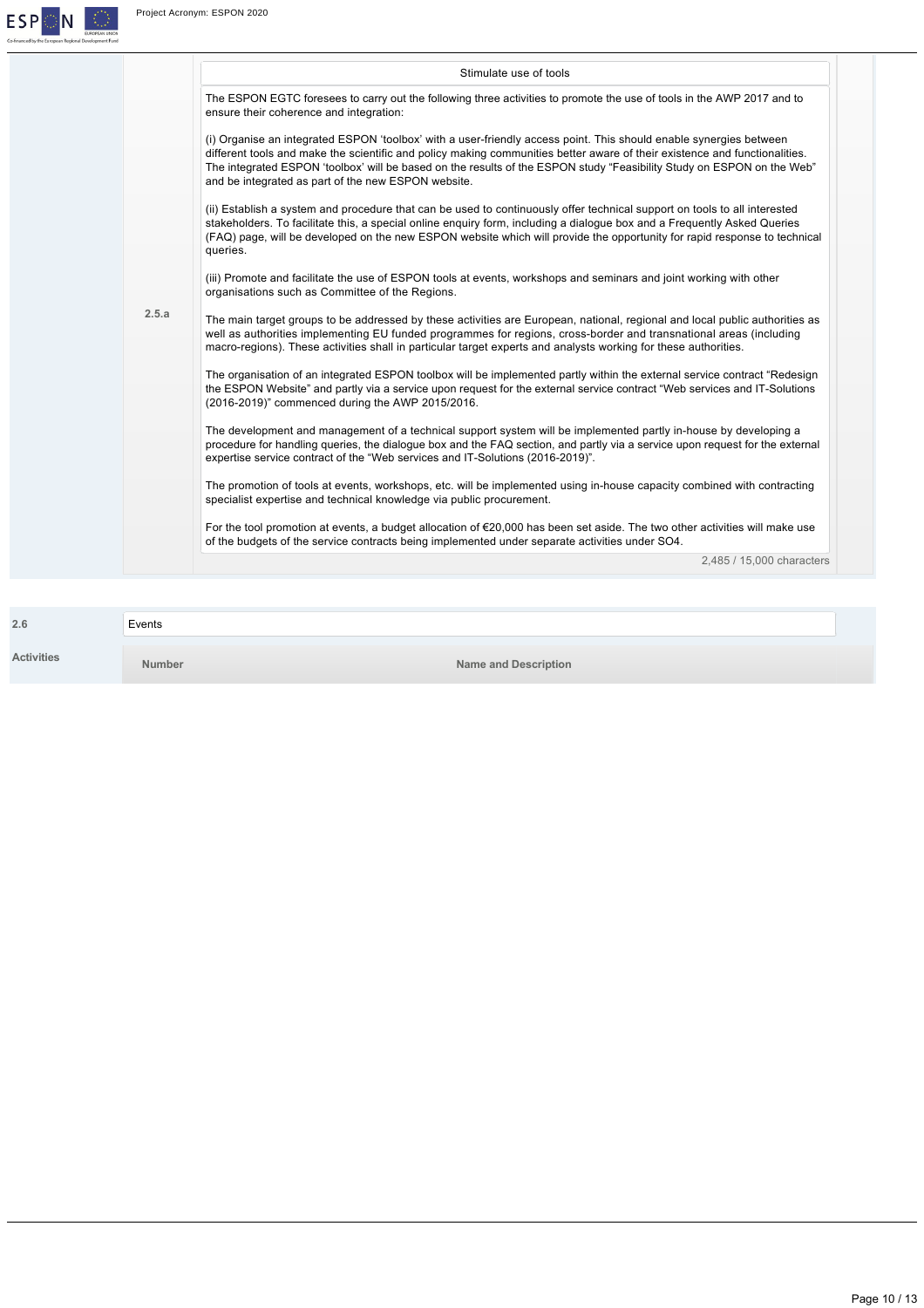

|       | Stimulate use of tools                                                                                                                                                                                                                                                                                                                                                                                                            |
|-------|-----------------------------------------------------------------------------------------------------------------------------------------------------------------------------------------------------------------------------------------------------------------------------------------------------------------------------------------------------------------------------------------------------------------------------------|
|       | The ESPON EGTC foresees to carry out the following three activities to promote the use of tools in the AWP 2017 and to<br>ensure their coherence and integration:                                                                                                                                                                                                                                                                 |
|       | (i) Organise an integrated ESPON 'toolbox' with a user-friendly access point. This should enable synergies between<br>different tools and make the scientific and policy making communities better aware of their existence and functionalities.<br>The integrated ESPON 'toolbox' will be based on the results of the ESPON study "Feasibility Study on ESPON on the Web"<br>and be integrated as part of the new ESPON website. |
|       | (ii) Establish a system and procedure that can be used to continuously offer technical support on tools to all interested<br>stakeholders. To facilitate this, a special online enquiry form, including a dialogue box and a Frequently Asked Queries<br>(FAQ) page, will be developed on the new ESPON website which will provide the opportunity for rapid response to technical<br>queries.                                    |
|       | (iii) Promote and facilitate the use of ESPON tools at events, workshops and seminars and joint working with other<br>organisations such as Committee of the Regions.                                                                                                                                                                                                                                                             |
| 2.5.a | The main target groups to be addressed by these activities are European, national, regional and local public authorities as<br>well as authorities implementing EU funded programmes for regions, cross-border and transnational areas (including<br>macro-regions). These activities shall in particular target experts and analysts working for these authorities.                                                              |
|       | The organisation of an integrated ESPON toolbox will be implemented partly within the external service contract "Redesign<br>the ESPON Website" and partly via a service upon request for the external service contract "Web services and IT-Solutions"<br>(2016-2019)" commenced during the AWP 2015/2016.                                                                                                                       |
|       | The development and management of a technical support system will be implemented partly in-house by developing a<br>procedure for handling queries, the dialogue box and the FAQ section, and partly via a service upon request for the external<br>expertise service contract of the "Web services and IT-Solutions (2016-2019)".                                                                                                |
|       | The promotion of tools at events, workshops, etc. will be implemented using in-house capacity combined with contracting<br>specialist expertise and technical knowledge via public procurement.                                                                                                                                                                                                                                   |
|       | For the tool promotion at events, a budget allocation of €20,000 has been set aside. The two other activities will make use<br>of the budgets of the service contracts being implemented under separate activities under SO4.                                                                                                                                                                                                     |
|       | 2,485 / 15,000 characters                                                                                                                                                                                                                                                                                                                                                                                                         |

| 2.6                | Events        |                             |
|--------------------|---------------|-----------------------------|
| <b>A</b> efivities | <b>Number</b> | <b>Name and Description</b> |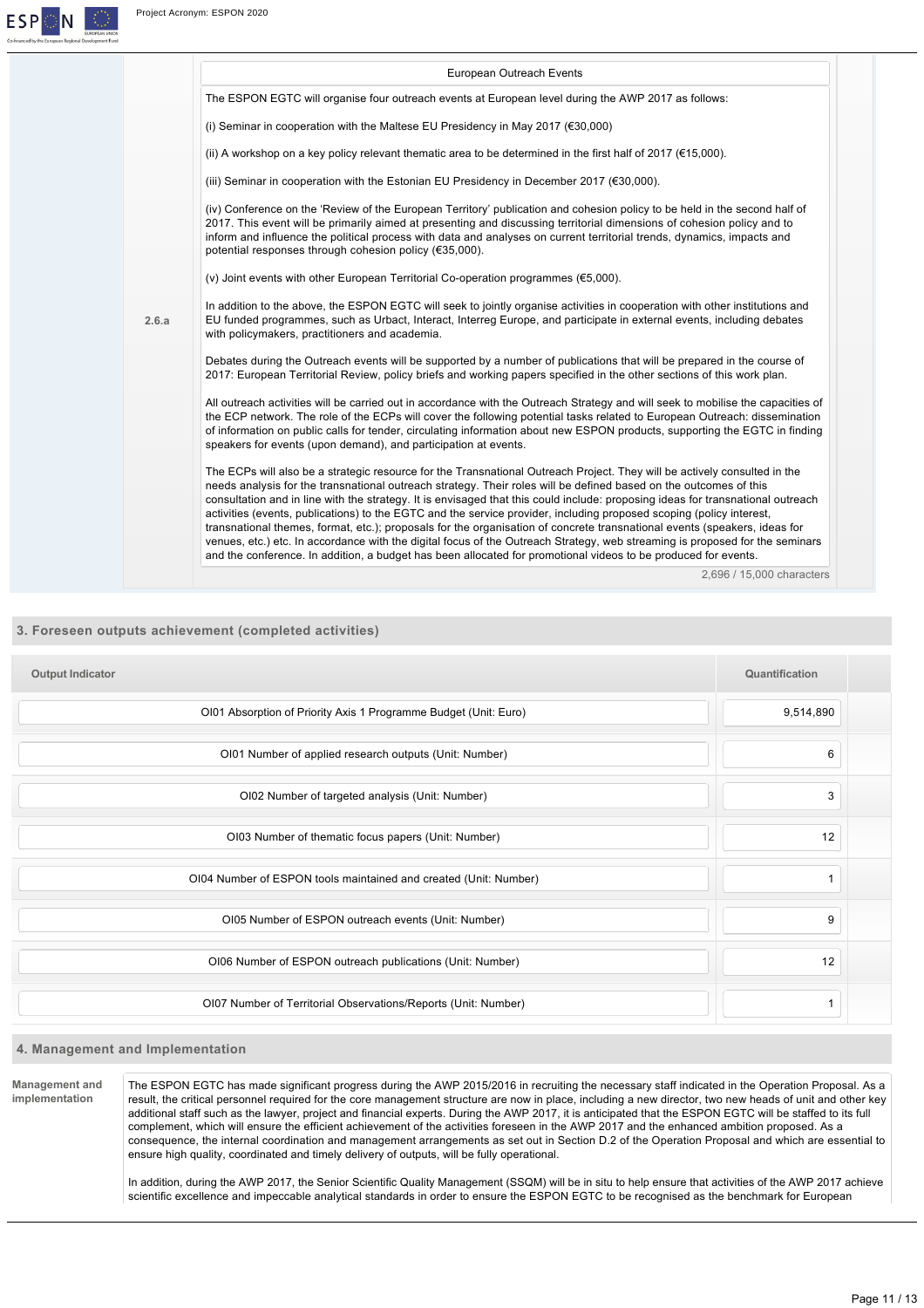**ESP** 

IΝ

|       | European Outreach Events                                                                                                                                                                                                                                                                                                                                                                                                                                         |
|-------|------------------------------------------------------------------------------------------------------------------------------------------------------------------------------------------------------------------------------------------------------------------------------------------------------------------------------------------------------------------------------------------------------------------------------------------------------------------|
|       | The ESPON EGTC will organise four outreach events at European level during the AWP 2017 as follows:                                                                                                                                                                                                                                                                                                                                                              |
|       | (i) Seminar in cooperation with the Maltese EU Presidency in May 2017 ( $\epsilon$ 30,000)                                                                                                                                                                                                                                                                                                                                                                       |
|       | (ii) A workshop on a key policy relevant thematic area to be determined in the first half of 2017 ( $€15,000$ ).                                                                                                                                                                                                                                                                                                                                                 |
|       | (iii) Seminar in cooperation with the Estonian EU Presidency in December 2017 (€30,000).                                                                                                                                                                                                                                                                                                                                                                         |
|       | (iv) Conference on the 'Review of the European Territory' publication and cohesion policy to be held in the second half of<br>2017. This event will be primarily aimed at presenting and discussing territorial dimensions of cohesion policy and to<br>inform and influence the political process with data and analyses on current territorial trends, dynamics, impacts and<br>potential responses through cohesion policy (€35,000).                         |
|       | (v) Joint events with other European Territorial Co-operation programmes ( $€5,000$ ).                                                                                                                                                                                                                                                                                                                                                                           |
| 2.6.a | In addition to the above, the ESPON EGTC will seek to jointly organise activities in cooperation with other institutions and<br>EU funded programmes, such as Urbact, Interact, Interreg Europe, and participate in external events, including debates<br>with policymakers, practitioners and academia.                                                                                                                                                         |
|       | Debates during the Outreach events will be supported by a number of publications that will be prepared in the course of<br>2017: European Territorial Review, policy briefs and working papers specified in the other sections of this work plan.                                                                                                                                                                                                                |
|       | All outreach activities will be carried out in accordance with the Outreach Strategy and will seek to mobilise the capacities of<br>the ECP network. The role of the ECPs will cover the following potential tasks related to European Outreach: dissemination<br>of information on public calls for tender, circulating information about new ESPON products, supporting the EGTC in finding<br>speakers for events (upon demand), and participation at events. |
|       | The ECPs will also be a strategic resource for the Transnational Outreach Project. They will be actively consulted in the<br>needs analysis for the transnational outreach strategy. Their roles will be defined based on the outcomes of this                                                                                                                                                                                                                   |
|       | consultation and in line with the strategy. It is envisaged that this could include: proposing ideas for transnational outreach<br>activities (events, publications) to the EGTC and the service provider, including proposed scoping (policy interest,<br>transnational themes, format, etc.); proposals for the organisation of concrete transnational events (speakers, ideas for                                                                             |
|       | venues, etc.) etc. In accordance with the digital focus of the Outreach Strategy, web streaming is proposed for the seminars<br>and the conference. In addition, a budget has been allocated for promotional videos to be produced for events.                                                                                                                                                                                                                   |
|       | 2.696 / 15.000 characters                                                                                                                                                                                                                                                                                                                                                                                                                                        |

# **3. Foreseen outputs achievement (completed activities)**

| <b>Output Indicator</b>                                          | Quantification |  |
|------------------------------------------------------------------|----------------|--|
| OI01 Absorption of Priority Axis 1 Programme Budget (Unit: Euro) | 9,514,890      |  |
| OI01 Number of applied research outputs (Unit: Number)           | 6              |  |
| OI02 Number of targeted analysis (Unit: Number)                  | 3              |  |
| OI03 Number of thematic focus papers (Unit: Number)              | 12             |  |
| OI04 Number of ESPON tools maintained and created (Unit: Number) |                |  |
| OI05 Number of ESPON outreach events (Unit: Number)              | 9              |  |
| OI06 Number of ESPON outreach publications (Unit: Number)        | 12             |  |
| OI07 Number of Territorial Observations/Reports (Unit: Number)   |                |  |

# **4. Management and Implementation**

**Management and implementation** The ESPON EGTC has made significant progress during the AWP 2015/2016 in recruiting the necessary staff indicated in the Operation Proposal. As a result, the critical personnel required for the core management structure are now in place, including a new director, two new heads of unit and other key additional staff such as the lawyer, project and financial experts. During the AWP 2017, it is anticipated that the ESPON EGTC will be staffed to its full complement, which will ensure the efficient achievement of the activities foreseen in the AWP 2017 and the enhanced ambition proposed. As a consequence, the internal coordination and management arrangements as set out in Section D.2 of the Operation Proposal and which are essential to ensure high quality, coordinated and timely delivery of outputs, will be fully operational.

> In addition, during the AWP 2017, the Senior Scientific Quality Management (SSQM) will be in situ to help ensure that activities of the AWP 2017 achieve scientific excellence and impeccable analytical standards in order to ensure the ESPON EGTC to be recognised as the benchmark for European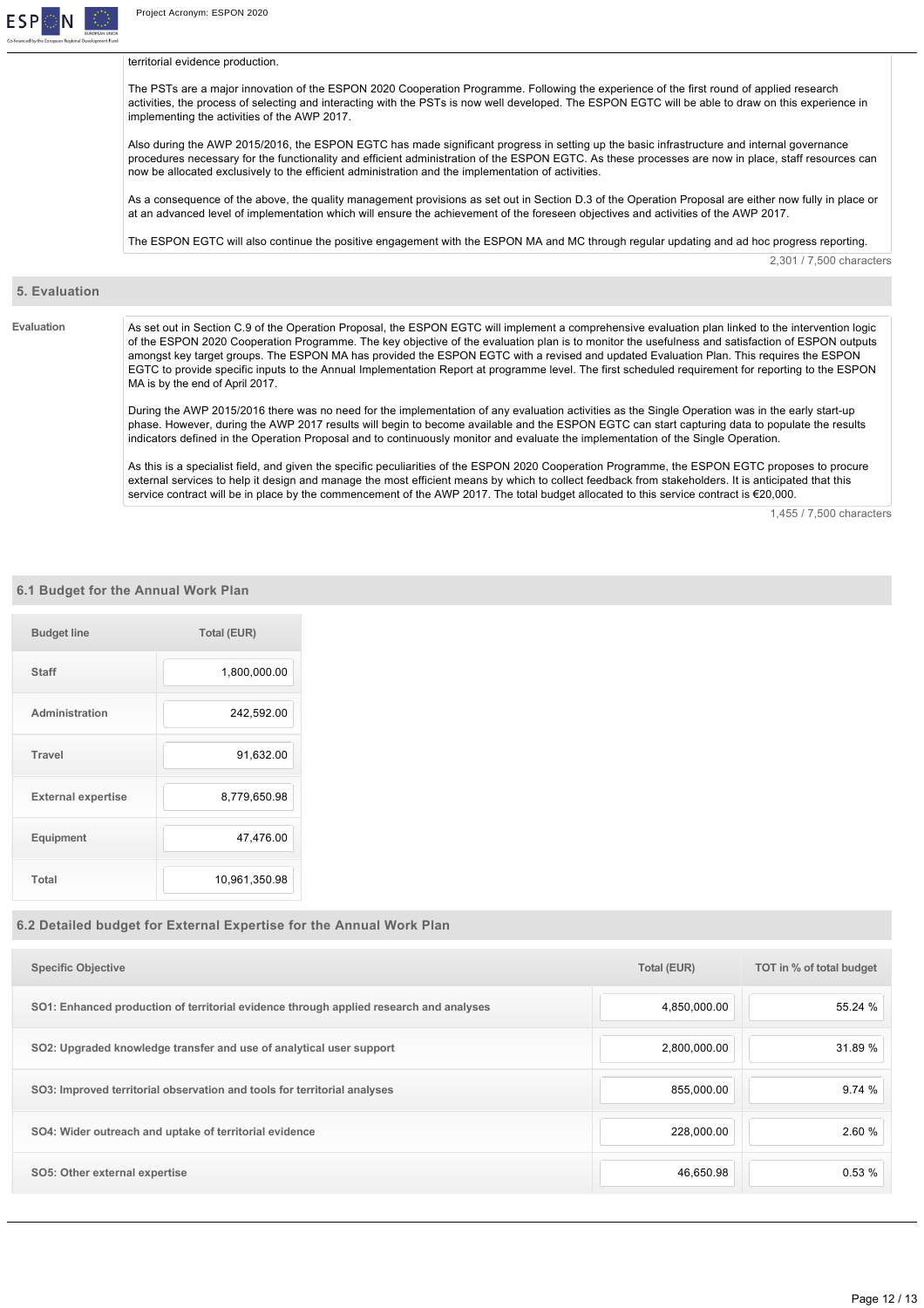

territorial evidence production.

The PSTs are a major innovation of the ESPON 2020 Cooperation Programme. Following the experience of the first round of applied research activities, the process of selecting and interacting with the PSTs is now well developed. The ESPON EGTC will be able to draw on this experience in implementing the activities of the AWP 2017.

Also during the AWP 2015/2016, the ESPON EGTC has made significant progress in setting up the basic infrastructure and internal governance procedures necessary for the functionality and efficient administration of the ESPON EGTC. As these processes are now in place, staff resources can now be allocated exclusively to the efficient administration and the implementation of activities.

As a consequence of the above, the quality management provisions as set out in Section D.3 of the Operation Proposal are either now fully in place or at an advanced level of implementation which will ensure the achievement of the foreseen objectives and activities of the AWP 2017.

The ESPON EGTC will also continue the positive engagement with the ESPON MA and MC through regular updating and ad hoc progress reporting.

# 2,301 / 7,500 characters

#### **5. Evaluation**

Evaluation **As set out in Section C.9 of the Operation Proposal, the ESPON EGTC will implement a comprehensive evaluation plan linked to the intervention logic** of the ESPON 2020 Cooperation Programme. The key objective of the evaluation plan is to monitor the usefulness and satisfaction of ESPON outputs amongst key target groups. The ESPON MA has provided the ESPON EGTC with a revised and updated Evaluation Plan. This requires the ESPON EGTC to provide specific inputs to the Annual Implementation Report at programme level. The first scheduled requirement for reporting to the ESPON MA is by the end of April 2017.

> During the AWP 2015/2016 there was no need for the implementation of any evaluation activities as the Single Operation was in the early startup phase. However, during the AWP 2017 results will begin to become available and the ESPON EGTC can start capturing data to populate the results indicators defined in the Operation Proposal and to continuously monitor and evaluate the implementation of the Single Operation.

> As this is a specialist field, and given the specific peculiarities of the ESPON 2020 Cooperation Programme, the ESPON EGTC proposes to procure external services to help it design and manage the most efficient means by which to collect feedback from stakeholders. It is anticipated that this service contract will be in place by the commencement of the AWP 2017. The total budget allocated to this service contract is €20,000.

> > 1,455 / 7,500 characters

# **6.1 Budget for the Annual Work Plan**

| <b>Budget line</b>        | <b>Total (EUR)</b> |
|---------------------------|--------------------|
| <b>Staff</b>              | 1,800,000.00       |
| Administration            | 242,592.00         |
| Travel                    | 91,632.00          |
| <b>External expertise</b> | 8,779,650.98       |
| Equipment                 | 47,476.00          |
| Total                     | 10,961,350.98      |

# **6.2 Detailed budget for External Expertise for the Annual Work Plan**

| <b>Specific Objective</b>                                                              | <b>Total (EUR)</b> | TOT in % of total budget |
|----------------------------------------------------------------------------------------|--------------------|--------------------------|
| SO1: Enhanced production of territorial evidence through applied research and analyses | 4,850,000.00       | 55.24 %                  |
| SO2: Upgraded knowledge transfer and use of analytical user support                    | 2,800,000.00       | 31.89 %                  |
| SO3: Improved territorial observation and tools for territorial analyses               | 855,000.00         | 9.74%                    |
| SO4: Wider outreach and uptake of territorial evidence                                 | 228,000.00         | 2.60 %                   |
| SO5: Other external expertise                                                          | 46,650.98          | 0.53%                    |